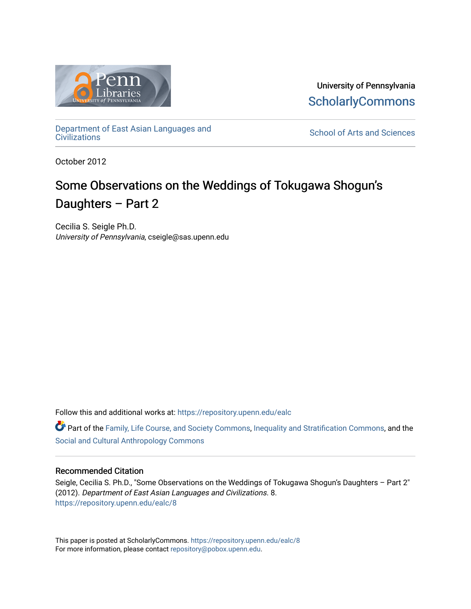

University of Pennsylvania **ScholarlyCommons** 

[Department of East Asian Languages and](https://repository.upenn.edu/ealc) 

School of Arts and Sciences

October 2012

# Some Observations on the Weddings of Tokugawa Shogun's Daughters – Part 2

Cecilia S. Seigle Ph.D. University of Pennsylvania, cseigle@sas.upenn.edu

Follow this and additional works at: [https://repository.upenn.edu/ealc](https://repository.upenn.edu/ealc?utm_source=repository.upenn.edu%2Fealc%2F8&utm_medium=PDF&utm_campaign=PDFCoverPages) 

**C** Part of the [Family, Life Course, and Society Commons,](http://network.bepress.com/hgg/discipline/419?utm_source=repository.upenn.edu%2Fealc%2F8&utm_medium=PDF&utm_campaign=PDFCoverPages) [Inequality and Stratification Commons,](http://network.bepress.com/hgg/discipline/421?utm_source=repository.upenn.edu%2Fealc%2F8&utm_medium=PDF&utm_campaign=PDFCoverPages) and the [Social and Cultural Anthropology Commons](http://network.bepress.com/hgg/discipline/323?utm_source=repository.upenn.edu%2Fealc%2F8&utm_medium=PDF&utm_campaign=PDFCoverPages) 

#### Recommended Citation

Seigle, Cecilia S. Ph.D., "Some Observations on the Weddings of Tokugawa Shogun's Daughters – Part 2" (2012). Department of East Asian Languages and Civilizations. 8. [https://repository.upenn.edu/ealc/8](https://repository.upenn.edu/ealc/8?utm_source=repository.upenn.edu%2Fealc%2F8&utm_medium=PDF&utm_campaign=PDFCoverPages) 

This paper is posted at ScholarlyCommons.<https://repository.upenn.edu/ealc/8> For more information, please contact [repository@pobox.upenn.edu.](mailto:repository@pobox.upenn.edu)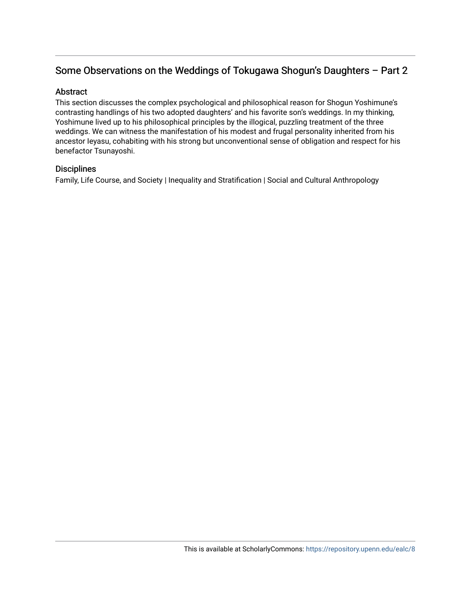# Some Observations on the Weddings of Tokugawa Shogun's Daughters - Part 2

### Abstract

This section discusses the complex psychological and philosophical reason for Shogun Yoshimune's contrasting handlings of his two adopted daughters' and his favorite son's weddings. In my thinking, Yoshimune lived up to his philosophical principles by the illogical, puzzling treatment of the three weddings. We can witness the manifestation of his modest and frugal personality inherited from his ancestor Ieyasu, cohabiting with his strong but unconventional sense of obligation and respect for his benefactor Tsunayoshi.

# **Disciplines**

Family, Life Course, and Society | Inequality and Stratification | Social and Cultural Anthropology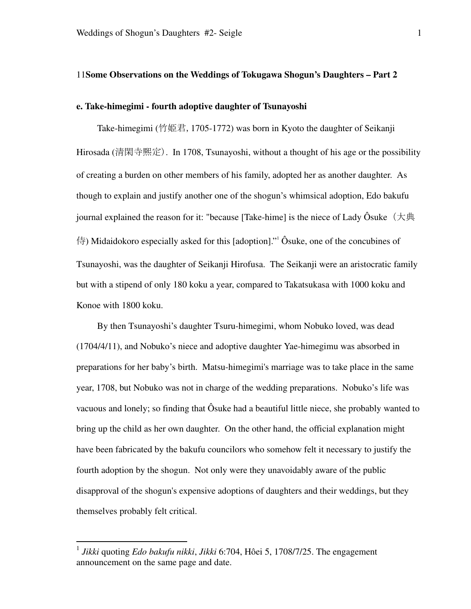#### 11**Some Observations on the Weddings of Tokugawa Shogun's Daughters – Part 2**

#### **e. Take-himegimi - fourth adoptive daughter of Tsunayoshi**

 Take-himegimi (竹姫君,1705-1772) was born in Kyoto the daughter of Seikanji Hirosada (清閑寺熈定). In 1708, Tsunayoshi, without a thought of his age or the possibility of creating a burden on other members of his family, adopted her as another daughter. As though to explain and justify another one of the shogun's whimsical adoption, Edo bakufu iournal explained the reason for it: "because [Take-hime] is the niece of Lady Ôsuke ( $\pm \text{H}$ ) 侍) Midaidokoro especially asked for this [adoption]."<sup>1</sup> Ôsuke, one of the concubines of Tsunayoshi, was the daughter of Seikanji Hirofusa. The Seikanji were an aristocratic family but with a stipend of only 180 koku a year, compared to Takatsukasa with 1000 koku and Konoe with 1800 koku.

 By then Tsunayoshi's daughter Tsuru-himegimi, whom Nobuko loved, was dead (1704/4/11), and Nobuko's niece and adoptive daughter Yae-himegimu was absorbed in preparations for her baby's birth. Matsu-himegimi's marriage was to take place in the same year, 1708, but Nobuko was not in charge of the wedding preparations. Nobuko's life was vacuous and lonely; so finding that Ôsuke had a beautiful little niece, she probably wanted to bring up the child as her own daughter. On the other hand, the official explanation might have been fabricated by the bakufu councilors who somehow felt it necessary to justify the fourth adoption by the shogun. Not only were they unavoidably aware of the public disapproval of the shogun's expensive adoptions of daughters and their weddings, but they themselves probably felt critical.

<sup>1</sup> *Jikki* quoting *Edo bakufu nikki*, *Jikki* 6:704, Hôei 5, 1708/7/25. The engagement announcement on the same page and date.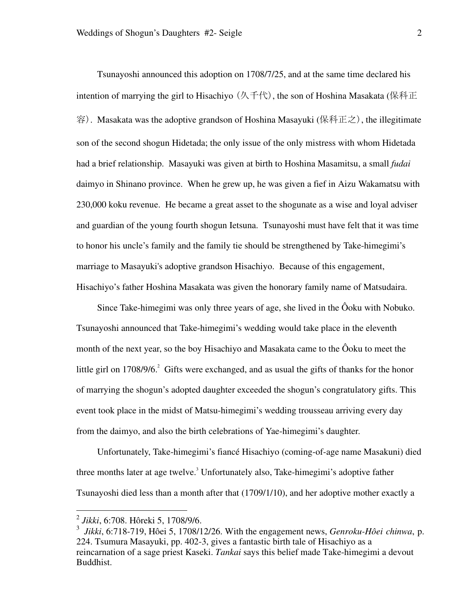Tsunayoshi announced this adoption on 1708/7/25, and at the same time declared his intention of marrying the girl to Hisachiyo (久千代), the son of Hoshina Masakata (保科正 容). Masakata was the adoptive grandson of Hoshina Masayuki (保科正之), the illegitimate son of the second shogun Hidetada; the only issue of the only mistress with whom Hidetada had a brief relationship. Masayuki was given at birth to Hoshina Masamitsu, a small *fudai* daimyo in Shinano province. When he grew up, he was given a fief in Aizu Wakamatsu with 230,000 koku revenue. He became a great asset to the shogunate as a wise and loyal adviser and guardian of the young fourth shogun Ietsuna. Tsunayoshi must have felt that it was time to honor his uncle's family and the family tie should be strengthened by Take-himegimi's marriage to Masayuki's adoptive grandson Hisachiyo. Because of this engagement, Hisachiyo's father Hoshina Masakata was given the honorary family name of Matsudaira.

Since Take-himegimi was only three years of age, she lived in the Ôoku with Nobuko. Tsunayoshi announced that Take-himegimi's wedding would take place in the eleventh month of the next year, so the boy Hisachiyo and Masakata came to the Ôoku to meet the little girl on  $1708/9/6$ <sup>2</sup> Gifts were exchanged, and as usual the gifts of thanks for the honor of marrying the shogun's adopted daughter exceeded the shogun's congratulatory gifts. This event took place in the midst of Matsu-himegimi's wedding trousseau arriving every day from the daimyo, and also the birth celebrations of Yae-himegimi's daughter.

Unfortunately, Take-himegimi's fiancé Hisachiyo (coming-of-age name Masakuni) died three months later at age twelve.<sup>3</sup> Unfortunately also, Take-himegimi's adoptive father Tsunayoshi died less than a month after that (1709/1/10), and her adoptive mother exactly a

<sup>2</sup> *Jikki*, 6:708. Hôreki 5, 1708/9/6.

<sup>3</sup> *Jikki*, 6:718-719, Hôei 5, 1708/12/26. With the engagement news, *Genroku-Hôei chinwa*, p. 224. Tsumura Masayuki, pp. 402-3, gives a fantastic birth tale of Hisachiyo as a reincarnation of a sage priest Kaseki. *Tankai* says this belief made Take-himegimi a devout Buddhist.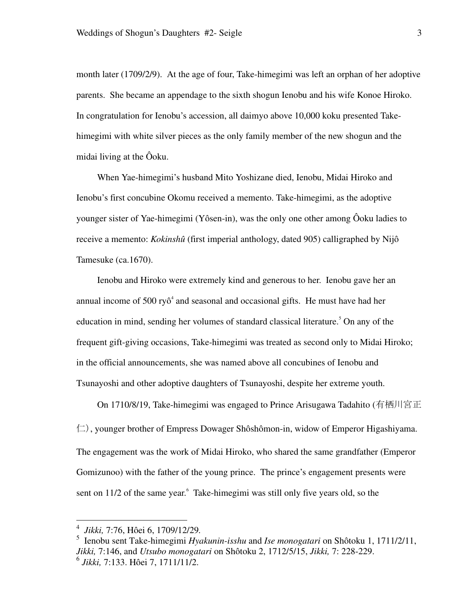month later (1709/2/9). At the age of four, Take-himegimi was left an orphan of her adoptive parents. She became an appendage to the sixth shogun Ienobu and his wife Konoe Hiroko. In congratulation for Ienobu's accession, all daimyo above 10,000 koku presented Takehimegimi with white silver pieces as the only family member of the new shogun and the midai living at the Ôoku.

When Yae-himegimi's husband Mito Yoshizane died, Ienobu, Midai Hiroko and Ienobu's first concubine Okomu received a memento. Take-himegimi, as the adoptive younger sister of Yae-himegimi (Yôsen-in), was the only one other among Ôoku ladies to receive a memento: *Kokinshû* (first imperial anthology, dated 905) calligraphed by Nijô Tamesuke (ca.1670).

Ienobu and Hiroko were extremely kind and generous to her. Ienobu gave her an annual income of  $500 \text{ ry} \delta^4$  and seasonal and occasional gifts. He must have had her education in mind, sending her volumes of standard classical literature.<sup>5</sup> On any of the frequent gift-giving occasions, Take-himegimi was treated as second only to Midai Hiroko; in the official announcements, she was named above all concubines of Ienobu and Tsunayoshi and other adoptive daughters of Tsunayoshi, despite her extreme youth.

 On 1710/8/19, Take-himegimi was engaged to Prince Arisugawa Tadahito (有栖川宮正  $(\square)$ , younger brother of Empress Dowager Shôshômon-in, widow of Emperor Higashiyama. The engagement was the work of Midai Hiroko, who shared the same grandfather (Emperor Gomizunoo) with the father of the young prince. The prince's engagement presents were sent on 11/2 of the same year. Take-himegimi was still only five years old, so the

 4  *Jikki,* 7:76, Hôei 6, 1709/12/29*.*

<sup>5</sup> Ienobu sent Take-himegimi *Hyakunin-isshu* and *Ise monogatari* on Shôtoku 1, 1711/2/11, *Jikki,* 7:146, and *Utsubo monogatari* on Shôtoku 2, 1712/5/15, *Jikki,* 7: 228-229. 6 *Jikki,* 7:133. Hôei 7, 1711/11/2.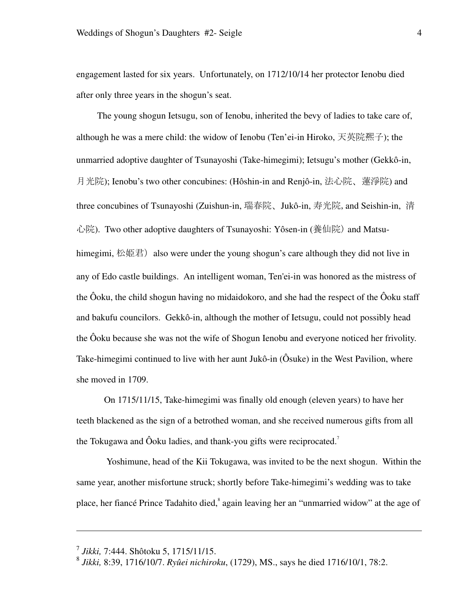engagement lasted for six years. Unfortunately, on 1712/10/14 her protector Ienobu died after only three years in the shogun's seat.

 The young shogun Ietsugu, son of Ienobu, inherited the bevy of ladies to take care of, although he was a mere child: the widow of Ienobu (Ten'ei-in Hiroko, 天英院凞子); the unmarried adoptive daughter of Tsunayoshi (Take-himegimi); Ietsugu's mother (Gekkô-in, 月光院); Ienobu's two other concubines: (Hôshin-in and Renjô-in, 法心院、蓮淨院) and three concubines of Tsunayoshi (Zuishun-in, 瑞春院、Jukô-in, 寿光院, and Seishin-in, 清 心院). Two other adoptive daughters of Tsunayoshi: Yôsen-in (養仙院) and Matsuhimegimi, 松姫君) also were under the young shogun's care although they did not live in any of Edo castle buildings. An intelligent woman, Ten'ei-in was honored as the mistress of the Ôoku, the child shogun having no midaidokoro, and she had the respect of the Ôoku staff and bakufu councilors. Gekkô-in, although the mother of Ietsugu, could not possibly head the Ôoku because she was not the wife of Shogun Ienobu and everyone noticed her frivolity. Take-himegimi continued to live with her aunt Jukô-in (Ôsuke) in the West Pavilion, where she moved in 1709.

On 1715/11/15, Take-himegimi was finally old enough (eleven years) to have her teeth blackened as the sign of a betrothed woman, and she received numerous gifts from all the Tokugawa and Ôoku ladies, and thank-you gifts were reciprocated.<sup>7</sup>

 Yoshimune, head of the Kii Tokugawa, was invited to be the next shogun. Within the same year, another misfortune struck; shortly before Take-himegimi's wedding was to take place, her fiancé Prince Tadahito died, again leaving her an "unmarried widow" at the age of

 $\overline{a}$ 

<sup>7</sup> *Jikki,* 7:444. Shôtoku 5, 1715/11/15.

<sup>8</sup> *Jikki,* 8:39, 1716/10/7. *Ryûei nichiroku*, (1729), MS., says he died 1716/10/1, 78:2.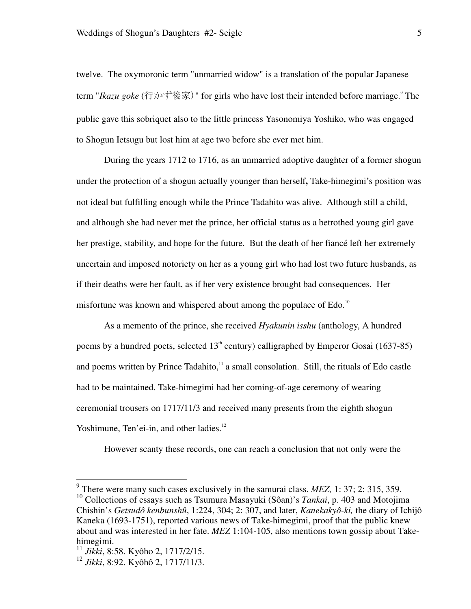twelve. The oxymoronic term "unmarried widow" is a translation of the popular Japanese term "Ikazu goke (行かず後家)" for girls who have lost their intended before marriage.<sup>9</sup> The public gave this sobriquet also to the little princess Yasonomiya Yoshiko, who was engaged to Shogun Ietsugu but lost him at age two before she ever met him.

During the years 1712 to 1716, as an unmarried adoptive daughter of a former shogun under the protection of a shogun actually younger than herself**,** Take-himegimi's position was not ideal but fulfilling enough while the Prince Tadahito was alive. Although still a child, and although she had never met the prince, her official status as a betrothed young girl gave her prestige, stability, and hope for the future. But the death of her fiancé left her extremely uncertain and imposed notoriety on her as a young girl who had lost two future husbands, as if their deaths were her fault, as if her very existence brought bad consequences. Her misfortune was known and whispered about among the populace of Edo.<sup>10</sup>

As a memento of the prince, she received *Hyakunin isshu* (anthology, A hundred poems by a hundred poets, selected  $13<sup>th</sup>$  century) calligraphed by Emperor Gosai (1637-85) and poems written by Prince Tadahito, $\frac{11}{1}$  a small consolation. Still, the rituals of Edo castle had to be maintained. Take-himegimi had her coming-of-age ceremony of wearing ceremonial trousers on 1717/11/3 and received many presents from the eighth shogun Yoshimune, Ten'ei-in, and other ladies.<sup>12</sup>

However scanty these records, one can reach a conclusion that not only were the

<sup>&</sup>lt;sup>9</sup> There were many such cases exclusively in the samurai class. *MEZ*, 1: 37; 2: 315, 359.

<sup>&</sup>lt;sup>10</sup> Collections of essays such as Tsumura Masayuki (Sôan)'s *Tankai*, p. 403 and Motojima Chishin's *Getsudô kenbunshû*, 1:224, 304; 2: 307, and later, *Kanekakyô-ki,* the diary of Ichijô Kaneka (1693-1751), reported various news of Take-himegimi, proof that the public knew about and was interested in her fate. *MEZ* 1:104-105, also mentions town gossip about Takehimegimi.

<sup>11</sup> *Jikki*, 8:58. Kyôho 2, 1717/2/15.

<sup>12</sup> *Jikki*, 8:92. Kyôhô 2, 1717/11/3.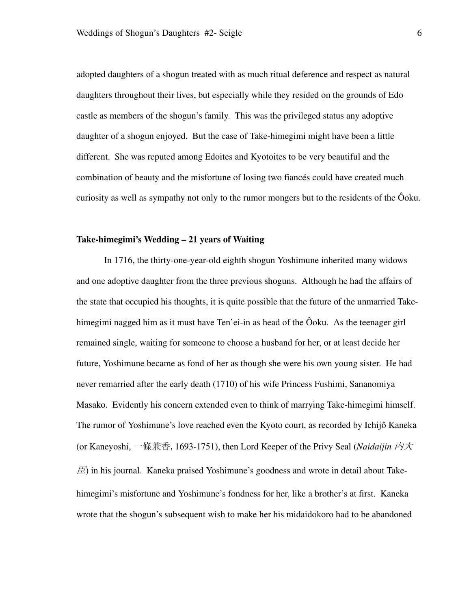adopted daughters of a shogun treated with as much ritual deference and respect as natural daughters throughout their lives, but especially while they resided on the grounds of Edo castle as members of the shogun's family. This was the privileged status any adoptive daughter of a shogun enjoyed. But the case of Take-himegimi might have been a little different. She was reputed among Edoites and Kyotoites to be very beautiful and the combination of beauty and the misfortune of losing two fiancés could have created much curiosity as well as sympathy not only to the rumor mongers but to the residents of the Ôoku.

#### **Take-himegimi's Wedding – 21 years of Waiting**

In 1716, the thirty-one-year-old eighth shogun Yoshimune inherited many widows and one adoptive daughter from the three previous shoguns. Although he had the affairs of the state that occupied his thoughts, it is quite possible that the future of the unmarried Takehimegimi nagged him as it must have Ten'ei-in as head of the Ôoku. As the teenager girl remained single, waiting for someone to choose a husband for her, or at least decide her future, Yoshimune became as fond of her as though she were his own young sister. He had never remarried after the early death (1710) of his wife Princess Fushimi, Sananomiya Masako. Evidently his concern extended even to think of marrying Take-himegimi himself. The rumor of Yoshimune's love reached even the Kyoto court, as recorded by Ichijô Kaneka (or Kaneyoshi, 一條兼香, 1693-1751), then Lord Keeper of the Privy Seal (*Naidaijin 内大*  $E$ ) in his journal. Kaneka praised Yoshimune's goodness and wrote in detail about Takehimegimi's misfortune and Yoshimune's fondness for her, like a brother's at first. Kaneka wrote that the shogun's subsequent wish to make her his midaidokoro had to be abandoned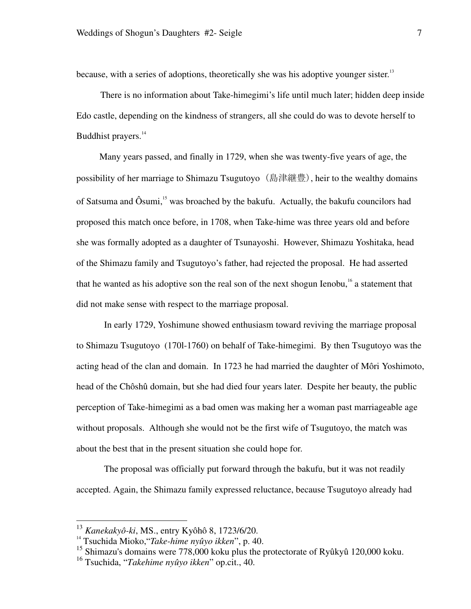because, with a series of adoptions, theoretically she was his adoptive younger sister.<sup>13</sup>

There is no information about Take-himegimi's life until much later; hidden deep inside Edo castle, depending on the kindness of strangers, all she could do was to devote herself to Buddhist prayers.<sup>14</sup>

 Many years passed, and finally in 1729, when she was twenty-five years of age, the possibility of her marriage to Shimazu Tsugutoyo (島津継豊), heir to the wealthy domains of Satsuma and Ôsumi,<sup>15</sup> was broached by the bakufu. Actually, the bakufu councilors had proposed this match once before, in 1708, when Take-hime was three years old and before she was formally adopted as a daughter of Tsunayoshi. However, Shimazu Yoshitaka, head of the Shimazu family and Tsugutoyo's father, had rejected the proposal. He had asserted that he wanted as his adoptive son the real son of the next shogun Ienobu, $16$  a statement that did not make sense with respect to the marriage proposal.

In early 1729, Yoshimune showed enthusiasm toward reviving the marriage proposal to Shimazu Tsugutoyo (170l-1760) on behalf of Take-himegimi. By then Tsugutoyo was the acting head of the clan and domain. In 1723 he had married the daughter of Môri Yoshimoto, head of the Chôshû domain, but she had died four years later. Despite her beauty, the public perception of Take-himegimi as a bad omen was making her a woman past marriageable age without proposals. Although she would not be the first wife of Tsugutoyo, the match was about the best that in the present situation she could hope for.

The proposal was officially put forward through the bakufu, but it was not readily accepted. Again, the Shimazu family expressed reluctance, because Tsugutoyo already had

<sup>13</sup> *Kanekakyô-ki*, MS., entry Kyôhô 8, 1723/6/20.

<sup>14</sup> Tsuchida Mioko,"*Take-hime nyûyo ikken*", p. 40.

<sup>&</sup>lt;sup>15</sup> Shimazu's domains were 778,000 koku plus the protectorate of Ryûkyû 120,000 koku.

<sup>16</sup> Tsuchida, "*Takehime nyûyo ikken*" op.cit., 40.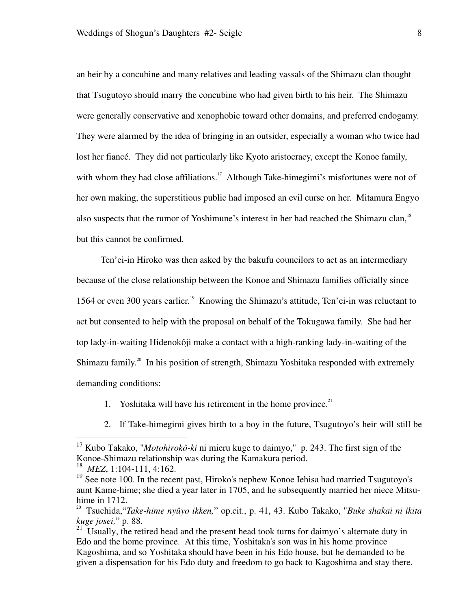an heir by a concubine and many relatives and leading vassals of the Shimazu clan thought that Tsugutoyo should marry the concubine who had given birth to his heir. The Shimazu were generally conservative and xenophobic toward other domains, and preferred endogamy. They were alarmed by the idea of bringing in an outsider, especially a woman who twice had lost her fiancé. They did not particularly like Kyoto aristocracy, except the Konoe family, with whom they had close affiliations.<sup>17</sup> Although Take-himegimi's misfortunes were not of her own making, the superstitious public had imposed an evil curse on her. Mitamura Engyo also suspects that the rumor of Yoshimune's interest in her had reached the Shimazu clan,<sup>18</sup> but this cannot be confirmed.

Ten'ei-in Hiroko was then asked by the bakufu councilors to act as an intermediary because of the close relationship between the Konoe and Shimazu families officially since 1564 or even 300 years earlier.<sup>19</sup> Knowing the Shimazu's attitude, Ten'ei-in was reluctant to act but consented to help with the proposal on behalf of the Tokugawa family. She had her top lady-in-waiting Hidenokôji make a contact with a high-ranking lady-in-waiting of the Shimazu family.<sup>20</sup> In his position of strength, Shimazu Yoshitaka responded with extremely demanding conditions:

- 1. Yoshitaka will have his retirement in the home province. $21$
- 2. If Take-himegimi gives birth to a boy in the future, Tsugutoyo's heir will still be

<sup>17</sup> Kubo Takako, "*Motohirokô-ki* ni mieru kuge to daimyo," p. 243. The first sign of the Konoe-Shimazu relationship was during the Kamakura period.

<sup>18</sup> *MEZ*, 1:104-111, 4:162.

<sup>&</sup>lt;sup>19</sup> See note 100. In the recent past, Hiroko's nephew Konoe Iehisa had married Tsugutoyo's aunt Kame-hime; she died a year later in 1705, and he subsequently married her niece Mitsuhime in 1712.

<sup>20</sup> Tsuchida,"*Take-hime nyûyo ikken,*" op.cit., p. 41, 43. Kubo Takako, "*Buke shakai ni ikita kuge josei,*" p. 88.

 $21$  Usually, the retired head and the present head took turns for daimyo's alternate duty in Edo and the home province. At this time, Yoshitaka's son was in his home province Kagoshima, and so Yoshitaka should have been in his Edo house, but he demanded to be given a dispensation for his Edo duty and freedom to go back to Kagoshima and stay there.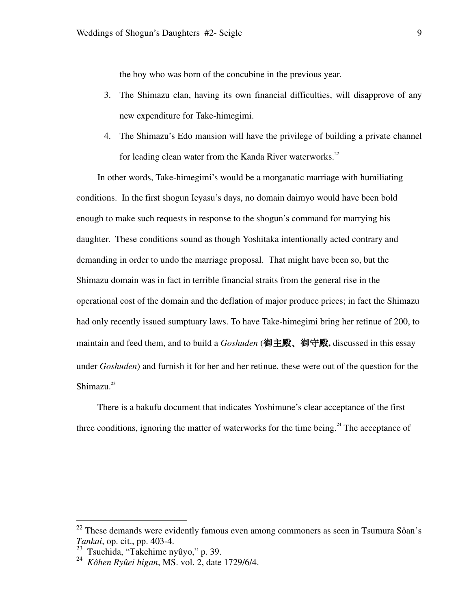the boy who was born of the concubine in the previous year.

- 3. The Shimazu clan, having its own financial difficulties, will disapprove of any new expenditure for Take-himegimi.
- 4. The Shimazu's Edo mansion will have the privilege of building a private channel for leading clean water from the Kanda River waterworks. $^{22}$

In other words, Take-himegimi's would be a morganatic marriage with humiliating conditions. In the first shogun Ieyasu's days, no domain daimyo would have been bold enough to make such requests in response to the shogun's command for marrying his daughter. These conditions sound as though Yoshitaka intentionally acted contrary and demanding in order to undo the marriage proposal. That might have been so, but the Shimazu domain was in fact in terrible financial straits from the general rise in the operational cost of the domain and the deflation of major produce prices; in fact the Shimazu had only recently issued sumptuary laws. To have Take-himegimi bring her retinue of 200, to maintain and feed them, and to build a *Goshuden* (御主殿、御守殿**,** discussed in this essay under *Goshuden*) and furnish it for her and her retinue, these were out of the question for the Shimazu.<sup>23</sup>

There is a bakufu document that indicates Yoshimune's clear acceptance of the first three conditions, ignoring the matter of waterworks for the time being.<sup>24</sup> The acceptance of

 $22$  These demands were evidently famous even among commoners as seen in Tsumura Sôan's *Tankai*, op. cit., pp. 403-4.

<sup>23</sup> Tsuchida, "Takehime nyûyo," p. 39.

<sup>24</sup> *Kôhen Ryûei higan*, MS. vol. 2, date 1729/6/4.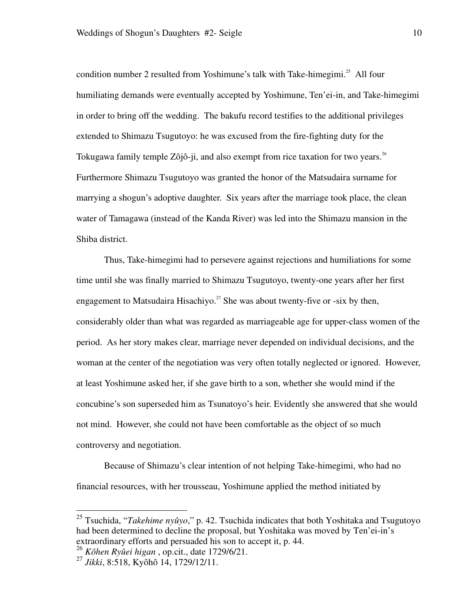condition number 2 resulted from Yoshimune's talk with Take-himegimi.<sup>25</sup> All four humiliating demands were eventually accepted by Yoshimune, Ten'ei-in, and Take-himegimi in order to bring off the wedding. The bakufu record testifies to the additional privileges extended to Shimazu Tsugutoyo: he was excused from the fire-fighting duty for the Tokugawa family temple Zôjô-ji, and also exempt from rice taxation for two years.<sup>26</sup> Furthermore Shimazu Tsugutoyo was granted the honor of the Matsudaira surname for marrying a shogun's adoptive daughter. Six years after the marriage took place, the clean water of Tamagawa (instead of the Kanda River) was led into the Shimazu mansion in the Shiba district.

 Thus, Take-himegimi had to persevere against rejections and humiliations for some time until she was finally married to Shimazu Tsugutoyo, twenty-one years after her first engagement to Matsudaira Hisachiyo.<sup>27</sup> She was about twenty-five or -six by then, considerably older than what was regarded as marriageable age for upper-class women of the period. As her story makes clear, marriage never depended on individual decisions, and the woman at the center of the negotiation was very often totally neglected or ignored. However, at least Yoshimune asked her, if she gave birth to a son, whether she would mind if the concubine's son superseded him as Tsunatoyo's heir. Evidently she answered that she would not mind. However, she could not have been comfortable as the object of so much controversy and negotiation.

 Because of Shimazu's clear intention of not helping Take-himegimi, who had no financial resources, with her trousseau, Yoshimune applied the method initiated by

<sup>25</sup> Tsuchida, "*Takehime nyûyo*," p. 42. Tsuchida indicates that both Yoshitaka and Tsugutoyo had been determined to decline the proposal, but Yoshitaka was moved by Ten'ei-in's extraordinary efforts and persuaded his son to accept it, p. 44.

<sup>26</sup> *Kôhen Ryûei higan* , op.cit., date 1729/6/21.

<sup>27</sup> *Jikki*, 8:518, Kyôhô 14, 1729/12/11.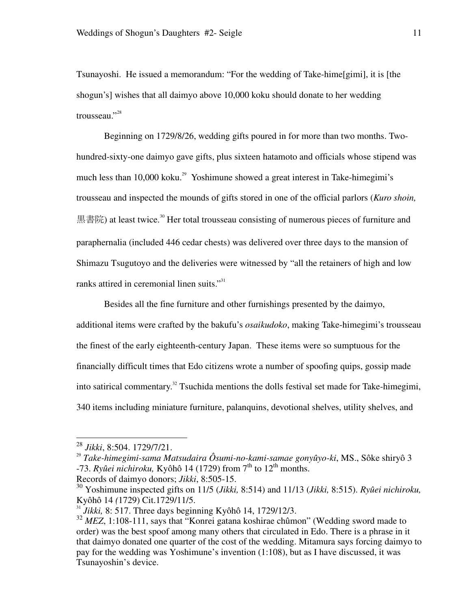Tsunayoshi. He issued a memorandum: "For the wedding of Take-hime[gimi], it is [the shogun's] wishes that all daimyo above 10,000 koku should donate to her wedding trousseau."<sup>28</sup>

 Beginning on 1729/8/26, wedding gifts poured in for more than two months. Twohundred-sixty-one daimyo gave gifts, plus sixteen hatamoto and officials whose stipend was much less than  $10,000$  koku.<sup>29</sup> Yoshimune showed a great interest in Take-himegimi's trousseau and inspected the mounds of gifts stored in one of the official parlors (*Kuro shoin,*  黒書院) at least twice.<sup>30</sup> Her total trousseau consisting of numerous pieces of furniture and paraphernalia (included 446 cedar chests) was delivered over three days to the mansion of Shimazu Tsugutoyo and the deliveries were witnessed by "all the retainers of high and low ranks attired in ceremonial linen suits."<sup>31</sup>

 Besides all the fine furniture and other furnishings presented by the daimyo, additional items were crafted by the bakufu's *osaikudoko*, making Take-himegimi's trousseau the finest of the early eighteenth-century Japan. These items were so sumptuous for the financially difficult times that Edo citizens wrote a number of spoofing quips, gossip made into satirical commentary.<sup>32</sup> Tsuchida mentions the dolls festival set made for Take-himegimi, 340 items including miniature furniture, palanquins, devotional shelves, utility shelves, and

<sup>28</sup> *Jikki*, 8:504. 1729/7/21.

<sup>29</sup> *Take-himegimi-sama Matsudaira Ôsumi-no-kami-samae gonyûyo-ki*, MS., Sôke shiryô 3  $-73$ . *Ryûei nichiroku*, Kyôhô 14 (1729) from 7<sup>th</sup> to 12<sup>th</sup> months.

Records of daimyo donors; *Jikki*, 8:505-15.

<sup>30</sup> Yoshimune inspected gifts on 11/5 (*Jikki,* 8:514) and 11/13 (*Jikki,* 8:515). *Ryûei nichiroku,*  Kyôhô 14 *(*1729) Cit.1729/11/5.

<sup>&</sup>lt;sup>31</sup> *Jikki*, 8: 517. Three days beginning Kyôhô 14, 1729/12/3.

<sup>&</sup>lt;sup>32</sup> MEZ, 1:108-111, says that "Konrei gatana koshirae chûmon" (Wedding sword made to order) was the best spoof among many others that circulated in Edo. There is a phrase in it that daimyo donated one quarter of the cost of the wedding. Mitamura says forcing daimyo to pay for the wedding was Yoshimune's invention (1:108), but as I have discussed, it was Tsunayoshin's device.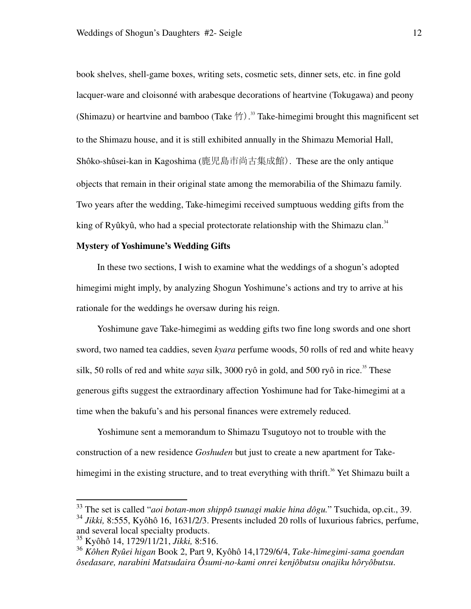book shelves, shell-game boxes, writing sets, cosmetic sets, dinner sets, etc. in fine gold lacquer-ware and cloisonné with arabesque decorations of heartvine (Tokugawa) and peony (Shimazu) or heartvine and bamboo (Take  $\hat{\Upsilon}$ ).<sup>33</sup> Take-himegimi brought this magnificent set to the Shimazu house, and it is still exhibited annually in the Shimazu Memorial Hall, Shôko-shûsei-kan in Kagoshima (鹿児島市尚古集成館). These are the only antique objects that remain in their original state among the memorabilia of the Shimazu family. Two years after the wedding, Take-himegimi received sumptuous wedding gifts from the king of Ryûkyû, who had a special protectorate relationship with the Shimazu clan.<sup>34</sup>

#### **Mystery of Yoshimune's Wedding Gifts**

In these two sections, I wish to examine what the weddings of a shogun's adopted himegimi might imply, by analyzing Shogun Yoshimune's actions and try to arrive at his rationale for the weddings he oversaw during his reign.

Yoshimune gave Take-himegimi as wedding gifts two fine long swords and one short sword, two named tea caddies, seven *kyara* perfume woods, 50 rolls of red and white heavy silk, 50 rolls of red and white *saya* silk, 3000 ryô in gold, and 500 ryô in rice.<sup>35</sup> These generous gifts suggest the extraordinary affection Yoshimune had for Take-himegimi at a time when the bakufu's and his personal finances were extremely reduced.

Yoshimune sent a memorandum to Shimazu Tsugutoyo not to trouble with the construction of a new residence *Goshuden* but just to create a new apartment for Takehimegimi in the existing structure, and to treat everything with thrift.<sup>36</sup> Yet Shimazu built a

<sup>33</sup> The set is called "*aoi botan-mon shippô tsunagi makie hina dôgu.*" Tsuchida, op.cit., 39.

<sup>&</sup>lt;sup>34</sup> *Jikki*, 8:555, Kyôhô 16, 1631/2/3. Presents included 20 rolls of luxurious fabrics, perfume, and several local specialty products.

<sup>35</sup> Kyôhô 14, 1729/11/21, *Jikki,* 8:516.

<sup>36</sup> *Kôhen Ryûei higan* Book 2, Part 9, Kyôhô 14,1729/6/4, *Take-himegimi-sama goendan ôsedasare, narabini Matsudaira Ôsumi-no-kami onrei kenjôbutsu onajiku hôryôbutsu*.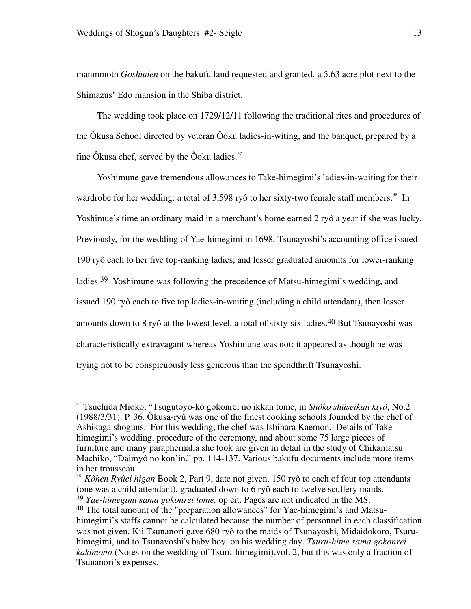-

manmmoth *Goshuden* on the bakufu land requested and granted, a 5.63 acre plot next to the Shimazus' Edo mansion in the Shiba district.

The wedding took place on 1729/12/11 following the traditional rites and procedures of the Ôkusa School directed by veteran Ôoku ladies-in-witing, and the banquet, prepared by a fine Ôkusa chef, served by the Ôoku ladies. $37$ 

Yoshimune gave tremendous allowances to Take-himegimi's ladies-in-waiting for their wardrobe for her wedding: a total of 3,598 ryô to her sixty-two female staff members.<sup>38</sup> In Yoshimue's time an ordinary maid in a merchant's home earned 2 ryô a year if she was lucky. Previously, for the wedding of Yae-himegimi in 1698, Tsunayoshi's accounting office issued 190 ryô each to her five top-ranking ladies, and lesser graduated amounts for lower-ranking ladies.39 Yoshimune was following the precedence of Matsu-himegimi's wedding, and issued 190 ryô each to five top ladies-in-waiting (including a child attendant), then lesser amounts down to 8 ryô at the lowest level, a total of sixty-six ladies**.** 40 But Tsunayoshi was characteristically extravagant whereas Yoshimune was not; it appeared as though he was trying not to be conspicuously less generous than the spendthrift Tsunayoshi.

38 *Kôhen Ryûei higan* Book 2, Part 9, date not given. 150 ryô to each of four top attendants (one was a child attendant), graduated down to 6 ryô each to twelve scullery maids. 39 *Yae-himegimi sama gokonrei tome,* op.cit. Pages are not indicated in the MS. 40 The total amount of the "preparation allowances" for Yae-himegimi's and Matsuhimegimi's staffs cannot be calculated because the number of personnel in each classification was not given. Kii Tsunanori gave 680 ryô to the maids of Tsunayoshi, Midaidokoro, Tsuruhimegimi, and to Tsunayoshi's baby boy, on his wedding day. *Tsuru-hime sama gokonrei kakimono* (Notes on the wedding of Tsuru-himegimi),vol. 2, but this was only a fraction of Tsunanori's expenses.

<sup>37</sup> Tsuchida Mioko, "Tsugutoyo-kô gokonrei no ikkan tome, in *Shôko shûseikan kiyô*, No.2 (1988/3/31). P. 36. Ôkusa-ryû was one of the finest cooking schools founded by the chef of Ashikaga shoguns. For this wedding, the chef was Ishihara Kaemon. Details of Takehimegimi's wedding, procedure of the ceremony, and about some 75 large pieces of furniture and many paraphernalia she took are given in detail in the study of Chikamatsu Machiko, "Daimyô no kon'in," pp. 114-137. Various bakufu documents include more items in her trousseau.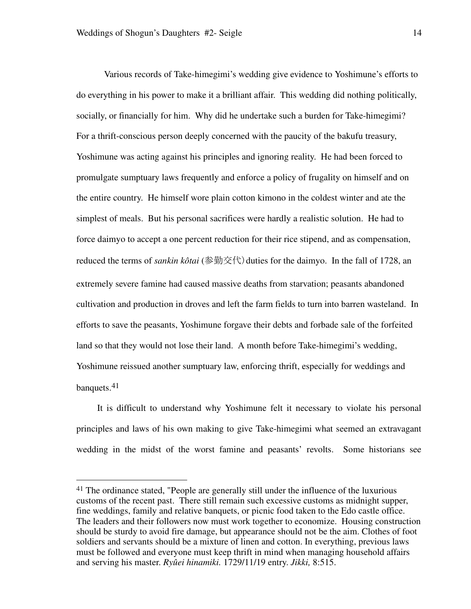-

Various records of Take-himegimi's wedding give evidence to Yoshimune's efforts to do everything in his power to make it a brilliant affair. This wedding did nothing politically, socially, or financially for him. Why did he undertake such a burden for Take-himegimi? For a thrift-conscious person deeply concerned with the paucity of the bakufu treasury, Yoshimune was acting against his principles and ignoring reality. He had been forced to promulgate sumptuary laws frequently and enforce a policy of frugality on himself and on the entire country. He himself wore plain cotton kimono in the coldest winter and ate the simplest of meals. But his personal sacrifices were hardly a realistic solution. He had to force daimyo to accept a one percent reduction for their rice stipend, and as compensation, reduced the terms of *sankin kôtai* (参勤交代) duties for the daimyo. In the fall of 1728, an extremely severe famine had caused massive deaths from starvation; peasants abandoned cultivation and production in droves and left the farm fields to turn into barren wasteland. In efforts to save the peasants, Yoshimune forgave their debts and forbade sale of the forfeited land so that they would not lose their land. A month before Take-himegimi's wedding, Yoshimune reissued another sumptuary law, enforcing thrift, especially for weddings and banquets.<sup>41</sup>

It is difficult to understand why Yoshimune felt it necessary to violate his personal principles and laws of his own making to give Take-himegimi what seemed an extravagant wedding in the midst of the worst famine and peasants' revolts. Some historians see

<sup>41</sup> The ordinance stated, "People are generally still under the influence of the luxurious customs of the recent past. There still remain such excessive customs as midnight supper, fine weddings, family and relative banquets, or picnic food taken to the Edo castle office. The leaders and their followers now must work together to economize. Housing construction should be sturdy to avoid fire damage, but appearance should not be the aim. Clothes of foot soldiers and servants should be a mixture of linen and cotton. In everything, previous laws must be followed and everyone must keep thrift in mind when managing household affairs and serving his master. *Ryûei hinamiki.* 1729/11/19 entry. *Jikki,* 8:515.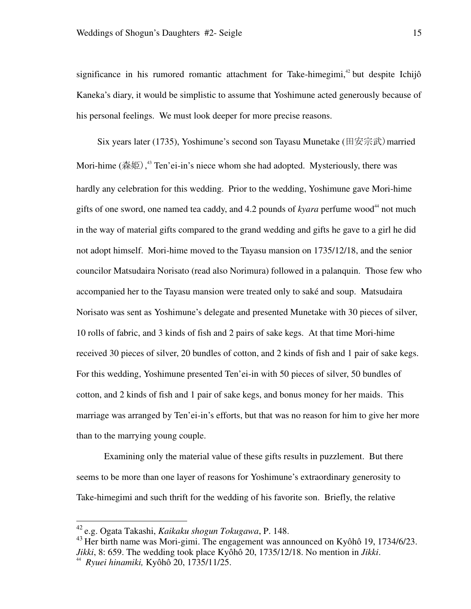significance in his rumored romantic attachment for Take-himegimi, $42$  but despite Ichijô Kaneka's diary, it would be simplistic to assume that Yoshimune acted generously because of his personal feelings. We must look deeper for more precise reasons.

Six years later (1735), Yoshimune's second son Tayasu Munetake (田安宗武)married Mori-hime (森姫),  $43$  Ten'ei-in's niece whom she had adopted. Mysteriously, there was hardly any celebration for this wedding. Prior to the wedding, Yoshimune gave Mori-hime gifts of one sword, one named tea caddy, and  $4.2$  pounds of *kyara* perfume wood<sup>44</sup> not much in the way of material gifts compared to the grand wedding and gifts he gave to a girl he did not adopt himself. Mori-hime moved to the Tayasu mansion on 1735/12/18, and the senior councilor Matsudaira Norisato (read also Norimura) followed in a palanquin. Those few who accompanied her to the Tayasu mansion were treated only to saké and soup. Matsudaira Norisato was sent as Yoshimune's delegate and presented Munetake with 30 pieces of silver, 10 rolls of fabric, and 3 kinds of fish and 2 pairs of sake kegs. At that time Mori-hime received 30 pieces of silver, 20 bundles of cotton, and 2 kinds of fish and 1 pair of sake kegs. For this wedding, Yoshimune presented Ten'ei-in with 50 pieces of silver, 50 bundles of cotton, and 2 kinds of fish and 1 pair of sake kegs, and bonus money for her maids. This marriage was arranged by Ten'ei-in's efforts, but that was no reason for him to give her more than to the marrying young couple.

Examining only the material value of these gifts results in puzzlement. But there seems to be more than one layer of reasons for Yoshimune's extraordinary generosity to Take-himegimi and such thrift for the wedding of his favorite son. Briefly, the relative

<sup>42</sup> e.g. Ogata Takashi, *Kaikaku shogun Tokugawa*, P. 148.

 $^{43}$  Her birth name was Mori-gimi. The engagement was announced on Kyôhô 19, 1734/6/23. *Jikki*, 8: 659. The wedding took place Kyôhô 20, 1735/12/18. No mention in *Jikki*. 44

*Ryuei hinamiki,* Kyôhô 20, 1735/11/25.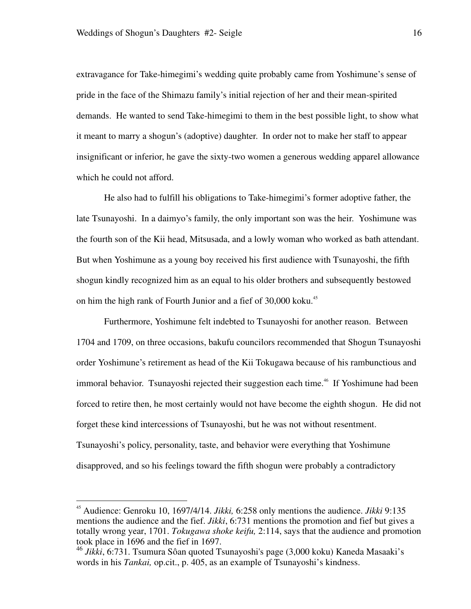-

extravagance for Take-himegimi's wedding quite probably came from Yoshimune's sense of pride in the face of the Shimazu family's initial rejection of her and their mean-spirited demands. He wanted to send Take-himegimi to them in the best possible light, to show what it meant to marry a shogun's (adoptive) daughter. In order not to make her staff to appear insignificant or inferior, he gave the sixty-two women a generous wedding apparel allowance which he could not afford.

He also had to fulfill his obligations to Take-himegimi's former adoptive father, the late Tsunayoshi. In a daimyo's family, the only important son was the heir. Yoshimune was the fourth son of the Kii head, Mitsusada, and a lowly woman who worked as bath attendant. But when Yoshimune as a young boy received his first audience with Tsunayoshi, the fifth shogun kindly recognized him as an equal to his older brothers and subsequently bestowed on him the high rank of Fourth Junior and a fief of 30,000 koku.<sup>45</sup>

Furthermore, Yoshimune felt indebted to Tsunayoshi for another reason. Between 1704 and 1709, on three occasions, bakufu councilors recommended that Shogun Tsunayoshi order Yoshimune's retirement as head of the Kii Tokugawa because of his rambunctious and immoral behavior. Tsunayoshi rejected their suggestion each time.<sup>46</sup> If Yoshimune had been forced to retire then, he most certainly would not have become the eighth shogun. He did not forget these kind intercessions of Tsunayoshi, but he was not without resentment. Tsunayoshi's policy, personality, taste, and behavior were everything that Yoshimune disapproved, and so his feelings toward the fifth shogun were probably a contradictory

<sup>45</sup> Audience: Genroku 10, 1697/4/14. *Jikki,* 6:258 only mentions the audience. *Jikki* 9:135 mentions the audience and the fief. *Jikki*, 6:731 mentions the promotion and fief but gives a totally wrong year, 1701. *Tokugawa shoke keifu,* 2:114, says that the audience and promotion took place in 1696 and the fief in 1697.

<sup>46</sup> *Jikki*, 6:731. Tsumura Sôan quoted Tsunayoshi's page (3,000 koku) Kaneda Masaaki's words in his *Tankai,* op.cit., p. 405, as an example of Tsunayoshi's kindness.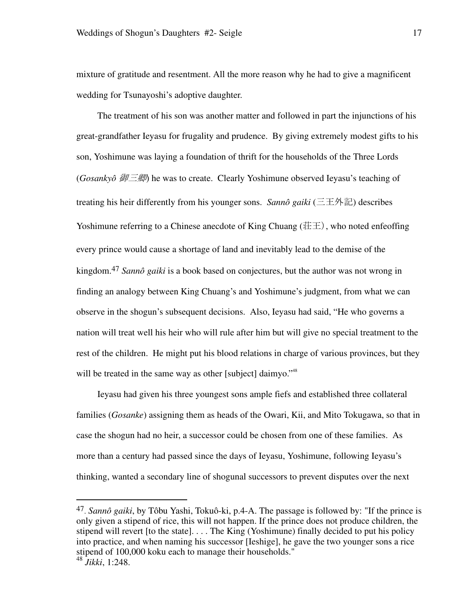mixture of gratitude and resentment. All the more reason why he had to give a magnificent wedding for Tsunayoshi's adoptive daughter.

The treatment of his son was another matter and followed in part the injunctions of his great-grandfather Ieyasu for frugality and prudence. By giving extremely modest gifts to his son, Yoshimune was laying a foundation of thrift for the households of the Three Lords (*Gosankyô* 御三卿) he was to create. Clearly Yoshimune observed Ieyasu's teaching of treating his heir differently from his younger sons. *Sannô gaiki* (三王外記) describes Yoshimune referring to a Chinese anecdote of King Chuang ( $E\ddot{\equiv}$ ), who noted enfeoffing every prince would cause a shortage of land and inevitably lead to the demise of the kingdom.47 *Sannô gaiki* is a book based on conjectures, but the author was not wrong in finding an analogy between King Chuang's and Yoshimune's judgment, from what we can observe in the shogun's subsequent decisions. Also, Ieyasu had said, "He who governs a nation will treat well his heir who will rule after him but will give no special treatment to the rest of the children. He might put his blood relations in charge of various provinces, but they will be treated in the same way as other [subject] daimyo."<sup>48</sup>

Ieyasu had given his three youngest sons ample fiefs and established three collateral families (*Gosanke*) assigning them as heads of the Owari, Kii, and Mito Tokugawa, so that in case the shogun had no heir, a successor could be chosen from one of these families. As more than a century had passed since the days of Ieyasu, Yoshimune, following Ieyasu's thinking, wanted a secondary line of shogunal successors to prevent disputes over the next

<sup>47.</sup> *Sannô gaiki*, by Tôbu Yashi, Tokuô-ki, p.4-A. The passage is followed by: "If the prince is only given a stipend of rice, this will not happen. If the prince does not produce children, the stipend will revert [to the state]. . . . The King (Yoshimune) finally decided to put his policy into practice, and when naming his successor [Ieshige], he gave the two younger sons a rice stipend of 100,000 koku each to manage their households." <sup>48</sup> *Jikki*, 1:248.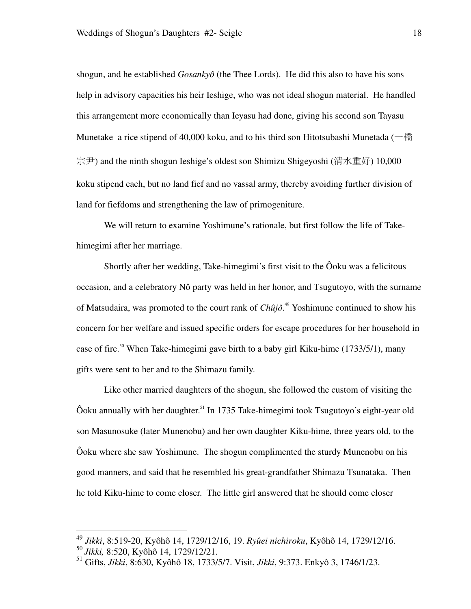shogun, and he established *Gosankyô* (the Thee Lords). He did this also to have his sons help in advisory capacities his heir Ieshige, who was not ideal shogun material. He handled this arrangement more economically than Ieyasu had done, giving his second son Tayasu Munetake a rice stipend of 40,000 koku, and to his third son Hitotsubashi Munetada (一橋 宗尹) and the ninth shogun Ieshige's oldest son Shimizu Shigeyoshi (清水重好) 10,000 koku stipend each, but no land fief and no vassal army, thereby avoiding further division of land for fiefdoms and strengthening the law of primogeniture.

We will return to examine Yoshimune's rationale, but first follow the life of Takehimegimi after her marriage.

Shortly after her wedding, Take-himegimi's first visit to the Ôoku was a felicitous occasion, and a celebratory Nô party was held in her honor, and Tsugutoyo, with the surname of Matsudaira, was promoted to the court rank of *Chûjô*. <sup>49</sup> Yoshimune continued to show his concern for her welfare and issued specific orders for escape procedures for her household in case of fire.<sup>50</sup> When Take-himegimi gave birth to a baby girl Kiku-hime (1733/5/1), many gifts were sent to her and to the Shimazu family.

Like other married daughters of the shogun, she followed the custom of visiting the Ôoku annually with her daughter.<sup>51</sup> In 1735 Take-himegimi took Tsugutoyo's eight-year old son Masunosuke (later Munenobu) and her own daughter Kiku-hime, three years old, to the Ôoku where she saw Yoshimune. The shogun complimented the sturdy Munenobu on his good manners, and said that he resembled his great-grandfather Shimazu Tsunataka. Then he told Kiku-hime to come closer. The little girl answered that he should come closer

<sup>49</sup> *Jikki*, 8:519-20, Kyôhô 14, 1729/12/16, 19. *Ryûei nichiroku*, Kyôhô 14, 1729/12/16.

<sup>50</sup> *Jikki,* 8:520, Kyôhô 14, 1729/12/21.

<sup>51</sup> Gifts, *Jikki*, 8:630, Kyôhô 18, 1733/5/7. Visit, *Jikki*, 9:373. Enkyô 3, 1746/1/23.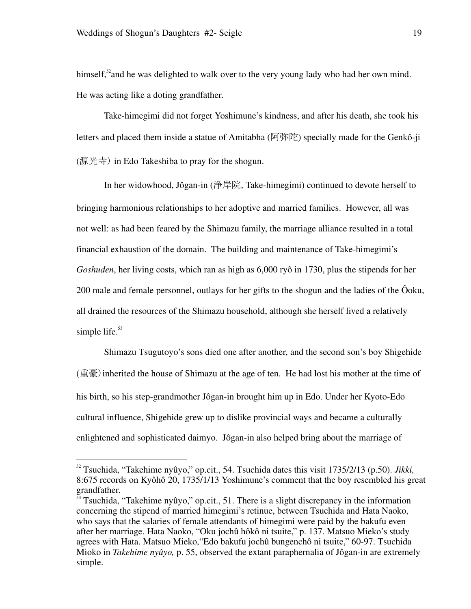<u>.</u>

himself, $52$  and he was delighted to walk over to the very young lady who had her own mind. He was acting like a doting grandfather.

 Take-himegimi did not forget Yoshimune's kindness, and after his death, she took his letters and placed them inside a statue of Amitabha (阿弥陀) specially made for the Genkô-ji (源光寺) in Edo Takeshiba to pray for the shogun.

In her widowhood, Jôgan-in (浄岸院,Take-himegimi) continued to devote herself to bringing harmonious relationships to her adoptive and married families. However, all was not well: as had been feared by the Shimazu family, the marriage alliance resulted in a total financial exhaustion of the domain. The building and maintenance of Take-himegimi's *Goshuden*, her living costs, which ran as high as 6,000 ryô in 1730, plus the stipends for her 200 male and female personnel, outlays for her gifts to the shogun and the ladies of the Ôoku, all drained the resources of the Shimazu household, although she herself lived a relatively simple life. $53$ 

Shimazu Tsugutoyo's sons died one after another, and the second son's boy Shigehide (重豪)inherited the house of Shimazu at the age of ten. He had lost his mother at the time of his birth, so his step-grandmother Jôgan-in brought him up in Edo. Under her Kyoto-Edo cultural influence, Shigehide grew up to dislike provincial ways and became a culturally enlightened and sophisticated daimyo. Jôgan-in also helped bring about the marriage of

<sup>52</sup> Tsuchida, "Takehime nyûyo," op.cit., 54. Tsuchida dates this visit 1735/2/13 (p.50). *Jikki,*  8:675 records on Kyôhô 20, 1735/1/13 Yoshimune's comment that the boy resembled his great grandfather.

<sup>53</sup> Tsuchida, "Takehime nyûyo," op.cit., 51. There is a slight discrepancy in the information concerning the stipend of married himegimi's retinue, between Tsuchida and Hata Naoko, who says that the salaries of female attendants of himegimi were paid by the bakufu even after her marriage. Hata Naoko, "Oku jochû hôkô ni tsuite," p. 137. Matsuo Mieko's study agrees with Hata. Matsuo Mieko,"Edo bakufu jochû bungenchô ni tsuite," 60-97. Tsuchida Mioko in *Takehime nyûyo,* p. 55, observed the extant paraphernalia of Jôgan-in are extremely simple.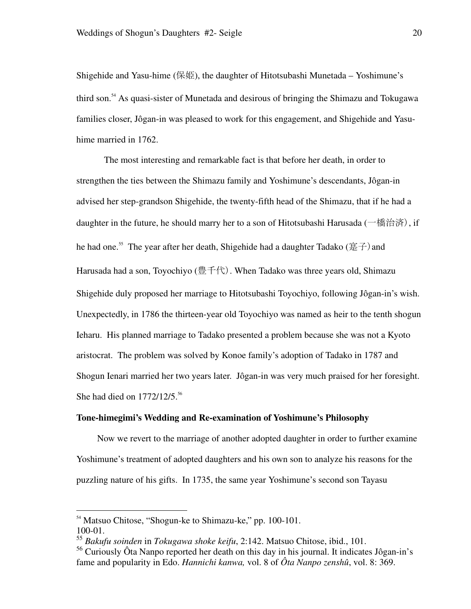Shigehide and Yasu-hime (保姫), the daughter of Hitotsubashi Munetada – Yoshimune's third son.<sup>54</sup> As quasi-sister of Munetada and desirous of bringing the Shimazu and Tokugawa families closer, Jôgan-in was pleased to work for this engagement, and Shigehide and Yasuhime married in 1762.

The most interesting and remarkable fact is that before her death, in order to strengthen the ties between the Shimazu family and Yoshimune's descendants, Jôgan-in advised her step-grandson Shigehide, the twenty-fifth head of the Shimazu, that if he had a daughter in the future, he should marry her to a son of Hitotsubashi Harusada (一橋治済), if he had one.<sup>55</sup> The year after her death, Shigehide had a daughter Tadako ( $\overline{\mathscr{E}}$ ) and Harusada had a son, Toyochiyo (豊千代). When Tadako was three years old, Shimazu Shigehide duly proposed her marriage to Hitotsubashi Toyochiyo, following Jôgan-in's wish. Unexpectedly, in 1786 the thirteen-year old Toyochiyo was named as heir to the tenth shogun Ieharu. His planned marriage to Tadako presented a problem because she was not a Kyoto aristocrat. The problem was solved by Konoe family's adoption of Tadako in 1787 and Shogun Ienari married her two years later. Jôgan-in was very much praised for her foresight. She had died on  $1772/12/5$ .<sup>56</sup>

#### **Tone-himegimi's Wedding and Re-examination of Yoshimune's Philosophy**

Now we revert to the marriage of another adopted daughter in order to further examine Yoshimune's treatment of adopted daughters and his own son to analyze his reasons for the puzzling nature of his gifts. In 1735, the same year Yoshimune's second son Tayasu

<sup>&</sup>lt;sup>54</sup> Matsuo Chitose, "Shogun-ke to Shimazu-ke," pp. 100-101. 100-01.

<sup>55</sup> *Bakufu soinden* in *Tokugawa shoke keifu*, 2:142. Matsuo Chitose, ibid., 101.

<sup>&</sup>lt;sup>56</sup> Curiously Ôta Nanpo reported her death on this day in his journal. It indicates Jôgan-in's fame and popularity in Edo. *Hannichi kanwa,* vol. 8 of *Ôta Nanpo zenshû*, vol. 8: 369.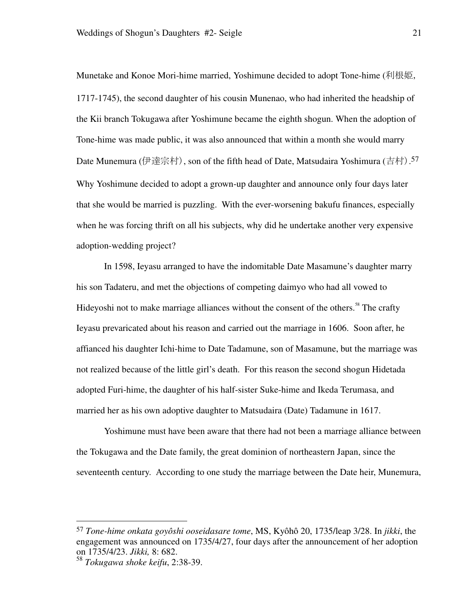Munetake and Konoe Mori-hime married, Yoshimune decided to adopt Tone-hime (利根姫, 1717-1745), the second daughter of his cousin Munenao, who had inherited the headship of the Kii branch Tokugawa after Yoshimune became the eighth shogun. When the adoption of Tone-hime was made public, it was also announced that within a month she would marry Date Munemura (伊達宗村), son of the fifth head of Date, Matsudaira Yoshimura (吉村). 57 Why Yoshimune decided to adopt a grown-up daughter and announce only four days later that she would be married is puzzling. With the ever-worsening bakufu finances, especially when he was forcing thrift on all his subjects, why did he undertake another very expensive adoption-wedding project?

In 1598, Ieyasu arranged to have the indomitable Date Masamune's daughter marry his son Tadateru, and met the objections of competing daimyo who had all vowed to Hideyoshi not to make marriage alliances without the consent of the others.<sup>58</sup> The crafty Ieyasu prevaricated about his reason and carried out the marriage in 1606. Soon after, he affianced his daughter Ichi-hime to Date Tadamune, son of Masamune, but the marriage was not realized because of the little girl's death. For this reason the second shogun Hidetada adopted Furi-hime, the daughter of his half-sister Suke-hime and Ikeda Terumasa, and married her as his own adoptive daughter to Matsudaira (Date) Tadamune in 1617.

Yoshimune must have been aware that there had not been a marriage alliance between the Tokugawa and the Date family, the great dominion of northeastern Japan, since the seventeenth century. According to one study the marriage between the Date heir, Munemura,

<sup>57</sup> *Tone-hime onkata goyôshi ooseidasare tome*, MS, Kyôhô 20, 1735/leap 3/28. In *jikki*, the engagement was announced on 1735/4/27, four days after the announcement of her adoption on 1735/4/23. *Jikki,* 8: 682.

<sup>58</sup> *Tokugawa shoke keifu*, 2:38-39.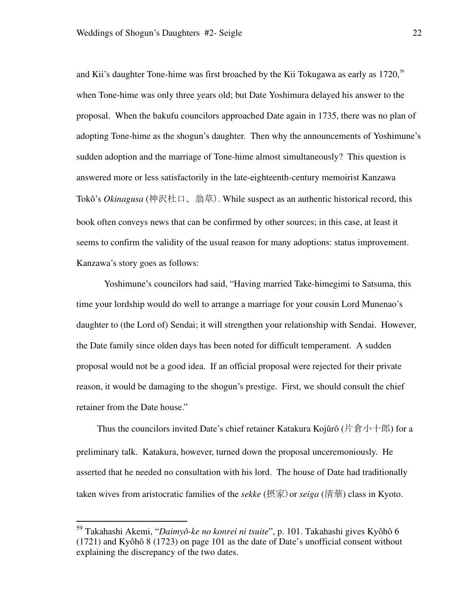and Kii's daughter Tone-hime was first broached by the Kii Tokugawa as early as  $1720$ ,<sup>59</sup> when Tone-hime was only three years old; but Date Yoshimura delayed his answer to the proposal. When the bakufu councilors approached Date again in 1735, there was no plan of adopting Tone-hime as the shogun's daughter. Then why the announcements of Yoshimune's sudden adoption and the marriage of Tone-hime almost simultaneously? This question is answered more or less satisfactorily in the late-eighteenth-century memoirist Kanzawa Tokô's *Okinagusa* (神沢杜口、翁草). While suspect as an authentic historical record, this book often conveys news that can be confirmed by other sources; in this case, at least it seems to confirm the validity of the usual reason for many adoptions: status improvement. Kanzawa's story goes as follows:

Yoshimune's councilors had said, "Having married Take-himegimi to Satsuma, this time your lordship would do well to arrange a marriage for your cousin Lord Munenao's daughter to (the Lord of) Sendai; it will strengthen your relationship with Sendai. However, the Date family since olden days has been noted for difficult temperament. A sudden proposal would not be a good idea. If an official proposal were rejected for their private reason, it would be damaging to the shogun's prestige. First, we should consult the chief retainer from the Date house."

Thus the councilors invited Date's chief retainer Katakura Kojûrô (片倉小十郎) for a preliminary talk. Katakura, however, turned down the proposal unceremoniously. He asserted that he needed no consultation with his lord. The house of Date had traditionally taken wives from aristocratic families of the *sekke* (摂家)or *seiga* (清華) class in Kyoto.

<sup>59</sup> Takahashi Akemi, "*Daimyô-ke no konrei ni tsuite*", p. 101. Takahashi gives Kyôhô 6 (1721) and Kyôhô 8 (1723) on page 101 as the date of Date's unofficial consent without explaining the discrepancy of the two dates.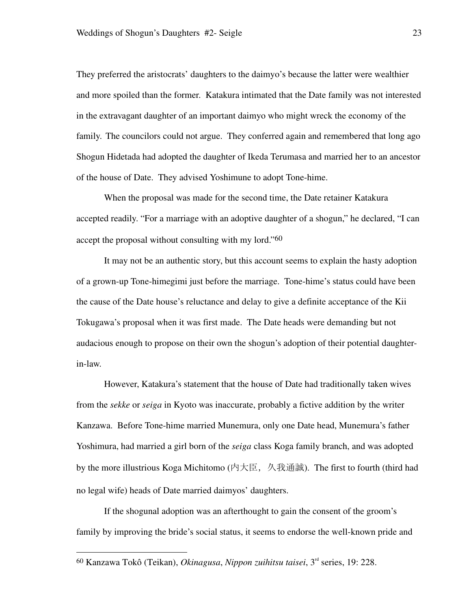They preferred the aristocrats' daughters to the daimyo's because the latter were wealthier and more spoiled than the former. Katakura intimated that the Date family was not interested in the extravagant daughter of an important daimyo who might wreck the economy of the family. The councilors could not argue. They conferred again and remembered that long ago Shogun Hidetada had adopted the daughter of Ikeda Terumasa and married her to an ancestor of the house of Date. They advised Yoshimune to adopt Tone-hime.

When the proposal was made for the second time, the Date retainer Katakura accepted readily. "For a marriage with an adoptive daughter of a shogun," he declared, "I can accept the proposal without consulting with my lord."<sup>60</sup>

It may not be an authentic story, but this account seems to explain the hasty adoption of a grown-up Tone-himegimi just before the marriage. Tone-hime's status could have been the cause of the Date house's reluctance and delay to give a definite acceptance of the Kii Tokugawa's proposal when it was first made. The Date heads were demanding but not audacious enough to propose on their own the shogun's adoption of their potential daughterin-law.

However, Katakura's statement that the house of Date had traditionally taken wives from the *sekke* or *seiga* in Kyoto was inaccurate, probably a fictive addition by the writer Kanzawa. Before Tone-hime married Munemura, only one Date head, Munemura's father Yoshimura, had married a girl born of the *seiga* class Koga family branch, and was adopted by the more illustrious Koga Michitomo (内大臣, 久我通誠). The first to fourth (third had no legal wife) heads of Date married daimyos' daughters.

If the shogunal adoption was an afterthought to gain the consent of the groom's family by improving the bride's social status, it seems to endorse the well-known pride and

<sup>60</sup> Kanzawa Tokô (Teikan), *Okinagusa*, *Nippon zuihitsu taisei*, 3rd series, 19: 228.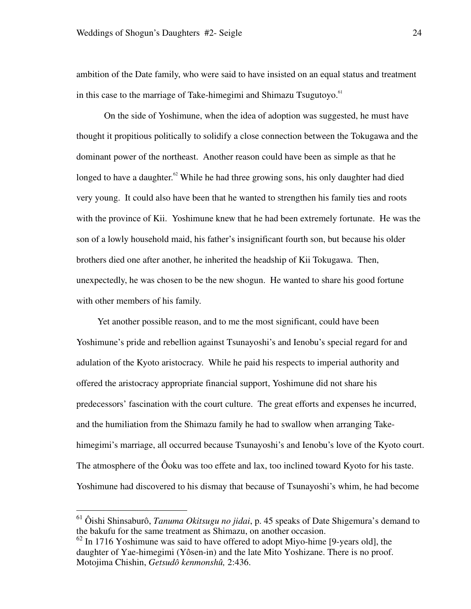ambition of the Date family, who were said to have insisted on an equal status and treatment in this case to the marriage of Take-himegimi and Shimazu Tsugutoyo.<sup>61</sup>

On the side of Yoshimune, when the idea of adoption was suggested, he must have thought it propitious politically to solidify a close connection between the Tokugawa and the dominant power of the northeast. Another reason could have been as simple as that he longed to have a daughter.<sup>62</sup> While he had three growing sons, his only daughter had died very young. It could also have been that he wanted to strengthen his family ties and roots with the province of Kii. Yoshimune knew that he had been extremely fortunate. He was the son of a lowly household maid, his father's insignificant fourth son, but because his older brothers died one after another, he inherited the headship of Kii Tokugawa. Then, unexpectedly, he was chosen to be the new shogun. He wanted to share his good fortune with other members of his family.

Yet another possible reason, and to me the most significant, could have been Yoshimune's pride and rebellion against Tsunayoshi's and Ienobu's special regard for and adulation of the Kyoto aristocracy. While he paid his respects to imperial authority and offered the aristocracy appropriate financial support, Yoshimune did not share his predecessors' fascination with the court culture. The great efforts and expenses he incurred, and the humiliation from the Shimazu family he had to swallow when arranging Takehimegimi's marriage, all occurred because Tsunayoshi's and Ienobu's love of the Kyoto court. The atmosphere of the Ôoku was too effete and lax, too inclined toward Kyoto for his taste. Yoshimune had discovered to his dismay that because of Tsunayoshi's whim, he had become

<sup>61</sup> Ôishi Shinsaburô, *Tanuma Okitsugu no jidai*, p. 45 speaks of Date Shigemura's demand to the bakufu for the same treatment as Shimazu, on another occasion.

 $62$  In 1716 Yoshimune was said to have offered to adopt Miyo-hime [9-years old], the daughter of Yae-himegimi (Yôsen-in) and the late Mito Yoshizane. There is no proof. Motojima Chishin, *Getsudô kenmonshû,* 2:436.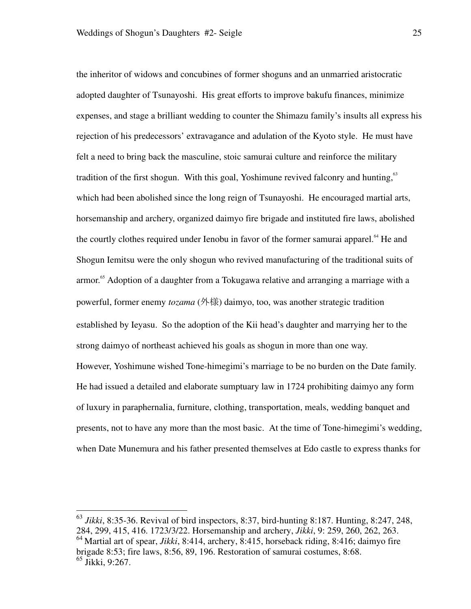the inheritor of widows and concubines of former shoguns and an unmarried aristocratic adopted daughter of Tsunayoshi. His great efforts to improve bakufu finances, minimize expenses, and stage a brilliant wedding to counter the Shimazu family's insults all express his rejection of his predecessors' extravagance and adulation of the Kyoto style. He must have felt a need to bring back the masculine, stoic samurai culture and reinforce the military tradition of the first shogun. With this goal, Yoshimune revived falconry and hunting, $63$ which had been abolished since the long reign of Tsunayoshi. He encouraged martial arts, horsemanship and archery, organized daimyo fire brigade and instituted fire laws, abolished the courtly clothes required under Ienobu in favor of the former samurai apparel.<sup>64</sup> He and Shogun Iemitsu were the only shogun who revived manufacturing of the traditional suits of armor.<sup>65</sup> Adoption of a daughter from a Tokugawa relative and arranging a marriage with a powerful, former enemy *tozama* (外様) daimyo, too, was another strategic tradition established by Ieyasu. So the adoption of the Kii head's daughter and marrying her to the strong daimyo of northeast achieved his goals as shogun in more than one way. However, Yoshimune wished Tone-himegimi's marriage to be no burden on the Date family. He had issued a detailed and elaborate sumptuary law in 1724 prohibiting daimyo any form of luxury in paraphernalia, furniture, clothing, transportation, meals, wedding banquet and presents, not to have any more than the most basic. At the time of Tone-himegimi's wedding,

-

when Date Munemura and his father presented themselves at Edo castle to express thanks for

<sup>63</sup> *Jikki*, 8:35-36. Revival of bird inspectors, 8:37, bird-hunting 8:187. Hunting, 8:247, 248, 284, 299, 415, 416. 1723/3/22. Horsemanship and archery, *Jikki*, 9: 259, 260, 262, 263. <sup>64</sup> Martial art of spear, *Jikki*, 8:414, archery, 8:415, horseback riding, 8:416; daimyo fire brigade 8:53; fire laws, 8:56, 89, 196. Restoration of samurai costumes, 8:68. <sup>65</sup> Jikki, 9:267.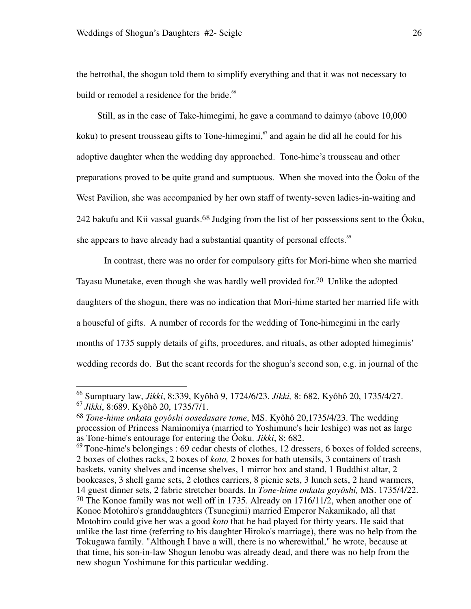<u>.</u>

the betrothal, the shogun told them to simplify everything and that it was not necessary to build or remodel a residence for the bride.<sup>66</sup>

Still, as in the case of Take-himegimi, he gave a command to daimyo (above 10,000 koku) to present trousseau gifts to Tone-himegimi,<sup>67</sup> and again he did all he could for his adoptive daughter when the wedding day approached. Tone-hime's trousseau and other preparations proved to be quite grand and sumptuous. When she moved into the Ôoku of the West Pavilion, she was accompanied by her own staff of twenty-seven ladies-in-waiting and 242 bakufu and Kii vassal guards.<sup>68</sup> Judging from the list of her possessions sent to the Ôoku, she appears to have already had a substantial quantity of personal effects.<sup>69</sup>

In contrast, there was no order for compulsory gifts for Mori-hime when she married Tayasu Munetake, even though she was hardly well provided for.70 Unlike the adopted daughters of the shogun, there was no indication that Mori-hime started her married life with a houseful of gifts. A number of records for the wedding of Tone-himegimi in the early months of 1735 supply details of gifts, procedures, and rituals, as other adopted himegimis' wedding records do. But the scant records for the shogun's second son, e.g. in journal of the

<sup>66</sup> Sumptuary law, *Jikki*, 8:339, Kyôhô 9, 1724/6/23. *Jikki,* 8: 682, Kyôhô 20, 1735/4/27. <sup>67</sup> *Jikki*, 8:689. Kyôhô 20, 1735/7/1.

<sup>68</sup> *Tone-hime onkata goyôshi oosedasare tome*, MS. Kyôhô 20,1735/4/23. The wedding procession of Princess Naminomiya (married to Yoshimune's heir Ieshige) was not as large as Tone-hime's entourage for entering the Ôoku. *Jikki*, 8: 682.

 $^{69}$  Tone-hime's belongings : 69 cedar chests of clothes, 12 dressers, 6 boxes of folded screens, 2 boxes of clothes racks, 2 boxes of *koto,* 2 boxes for bath utensils, 3 containers of trash baskets, vanity shelves and incense shelves, 1 mirror box and stand, 1 Buddhist altar, 2 bookcases, 3 shell game sets, 2 clothes carriers, 8 picnic sets, 3 lunch sets, 2 hand warmers, 14 guest dinner sets, 2 fabric stretcher boards. In *Tone-hime onkata goyôshi,* MS. 1735/4/22. 70 The Konoe family was not well off in 1735. Already on 1716/11/2, when another one of Konoe Motohiro's granddaughters (Tsunegimi) married Emperor Nakamikado, all that Motohiro could give her was a good *koto* that he had played for thirty years. He said that unlike the last time (referring to his daughter Hiroko's marriage), there was no help from the Tokugawa family. "Although I have a will, there is no wherewithal," he wrote, because at that time, his son-in-law Shogun Ienobu was already dead, and there was no help from the new shogun Yoshimune for this particular wedding.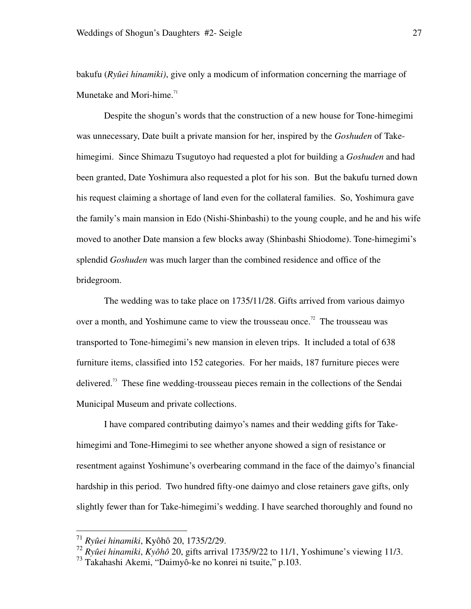bakufu (*Ryûei hinamiki)*, give only a modicum of information concerning the marriage of Munetake and Mori-hime. $71$ 

Despite the shogun's words that the construction of a new house for Tone-himegimi was unnecessary, Date built a private mansion for her, inspired by the *Goshuden* of Takehimegimi. Since Shimazu Tsugutoyo had requested a plot for building a *Goshuden* and had been granted, Date Yoshimura also requested a plot for his son. But the bakufu turned down his request claiming a shortage of land even for the collateral families. So, Yoshimura gave the family's main mansion in Edo (Nishi-Shinbashi) to the young couple, and he and his wife moved to another Date mansion a few blocks away (Shinbashi Shiodome). Tone-himegimi's splendid *Goshuden* was much larger than the combined residence and office of the bridegroom.

The wedding was to take place on 1735/11/28. Gifts arrived from various daimyo over a month, and Yoshimune came to view the trousseau once.<sup>72</sup> The trousseau was transported to Tone-himegimi's new mansion in eleven trips. It included a total of 638 furniture items, classified into 152 categories. For her maids, 187 furniture pieces were delivered.<sup>73</sup> These fine wedding-trousseau pieces remain in the collections of the Sendai Municipal Museum and private collections.

I have compared contributing daimyo's names and their wedding gifts for Takehimegimi and Tone-Himegimi to see whether anyone showed a sign of resistance or resentment against Yoshimune's overbearing command in the face of the daimyo's financial hardship in this period. Two hundred fifty-one daimyo and close retainers gave gifts, only slightly fewer than for Take-himegimi's wedding. I have searched thoroughly and found no

<sup>71</sup> *Ryûei hinamiki*, Kyôhô 20, 1735/2/29.

<sup>72</sup> *Ryûei hinamiki*, *Kyôhô* 20, gifts arrival 1735/9/22 to 11/1, Yoshimune's viewing 11/3.

<sup>73</sup> Takahashi Akemi, "Daimyô-ke no konrei ni tsuite," p.103.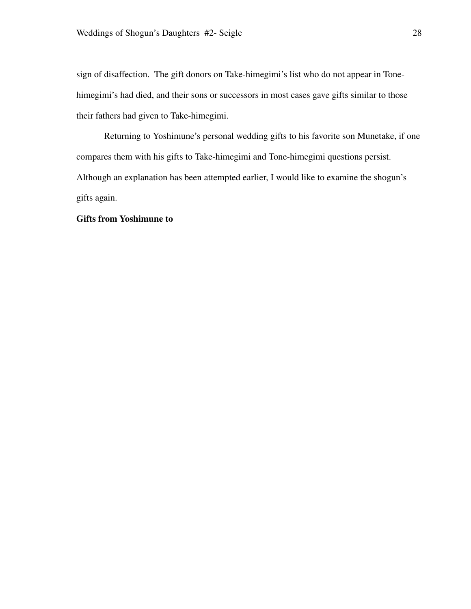sign of disaffection. The gift donors on Take-himegimi's list who do not appear in Tonehimegimi's had died, and their sons or successors in most cases gave gifts similar to those their fathers had given to Take-himegimi.

Returning to Yoshimune's personal wedding gifts to his favorite son Munetake, if one compares them with his gifts to Take-himegimi and Tone-himegimi questions persist. Although an explanation has been attempted earlier, I would like to examine the shogun's gifts again.

# **Gifts from Yoshimune to**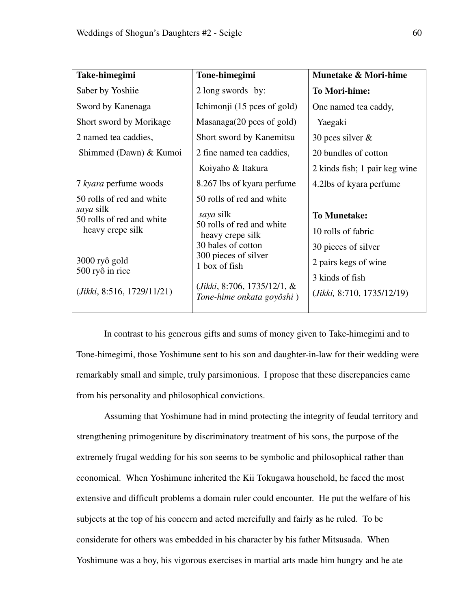| Take-himegimi                          | Tone-himegimi                                               | Munetake & Mori-hime          |
|----------------------------------------|-------------------------------------------------------------|-------------------------------|
| Saber by Yoshiie                       | 2 long swords by:                                           | <b>To Mori-hime:</b>          |
| Sword by Kanenaga                      | Ichimonii (15 pces of gold)                                 | One named tea caddy,          |
| Short sword by Morikage                | Masanaga(20 pces of gold)                                   | Yaegaki                       |
| 2 named tea caddies,                   | Short sword by Kanemitsu                                    | 30 pces silver $\&$           |
| Shimmed (Dawn) & Kumoi                 | 2 fine named tea caddies,                                   | 20 bundles of cotton          |
|                                        | Koiyaho & Itakura                                           | 2 kinds fish; 1 pair keg wine |
| 7 kyara perfume woods                  | 8.267 lbs of kyara perfume                                  | 4.2lbs of kyara perfume       |
| 50 rolls of red and white              | 50 rolls of red and white                                   |                               |
| saya silk<br>50 rolls of red and white | saya silk                                                   | <b>To Munetake:</b>           |
| heavy crepe silk                       | 50 rolls of red and white<br>heavy crepe silk               | 10 rolls of fabric            |
|                                        | 30 bales of cotton                                          | 30 pieces of silver           |
| 3000 ryô gold                          | 300 pieces of silver<br>1 box of fish                       | 2 pairs kegs of wine          |
| 500 ryô in rice                        |                                                             | 3 kinds of fish               |
| (Jikki, 8:516, 1729/11/21)             | $(Jikki, 8:706, 1735/12/1, \&$<br>Tone-hime onkata goyôshi) | (Jikki, 8:710, 1735/12/19)    |

In contrast to his generous gifts and sums of money given to Take-himegimi and to Tone-himegimi, those Yoshimune sent to his son and daughter-in-law for their wedding were remarkably small and simple, truly parsimonious. I propose that these discrepancies came from his personality and philosophical convictions.

Assuming that Yoshimune had in mind protecting the integrity of feudal territory and strengthening primogeniture by discriminatory treatment of his sons, the purpose of the extremely frugal wedding for his son seems to be symbolic and philosophical rather than economical. When Yoshimune inherited the Kii Tokugawa household, he faced the most extensive and difficult problems a domain ruler could encounter. He put the welfare of his subjects at the top of his concern and acted mercifully and fairly as he ruled. To be considerate for others was embedded in his character by his father Mitsusada. When Yoshimune was a boy, his vigorous exercises in martial arts made him hungry and he ate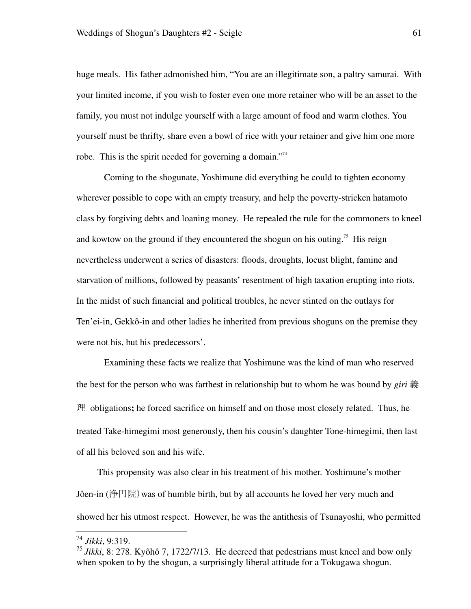huge meals. His father admonished him, "You are an illegitimate son, a paltry samurai. With your limited income, if you wish to foster even one more retainer who will be an asset to the family, you must not indulge yourself with a large amount of food and warm clothes. You yourself must be thrifty, share even a bowl of rice with your retainer and give him one more robe. This is the spirit needed for governing a domain."<sup>74</sup>

Coming to the shogunate, Yoshimune did everything he could to tighten economy wherever possible to cope with an empty treasury, and help the poverty-stricken hatamoto class by forgiving debts and loaning money. He repealed the rule for the commoners to kneel and kowtow on the ground if they encountered the shogun on his outing.<sup>75</sup> His reign nevertheless underwent a series of disasters: floods, droughts, locust blight, famine and starvation of millions, followed by peasants' resentment of high taxation erupting into riots. In the midst of such financial and political troubles, he never stinted on the outlays for Ten'ei-in, Gekkô-in and other ladies he inherited from previous shoguns on the premise they were not his, but his predecessors'.

Examining these facts we realize that Yoshimune was the kind of man who reserved the best for the person who was farthest in relationship but to whom he was bound by *giri* 義 理 obligations**;** he forced sacrifice on himself and on those most closely related. Thus, he treated Take-himegimi most generously, then his cousin's daughter Tone-himegimi, then last of all his beloved son and his wife.

This propensity was also clear in his treatment of his mother. Yoshimune's mother Jôen-in (浄円院)was of humble birth, but by all accounts he loved her very much and showed her his utmost respect. However, he was the antithesis of Tsunayoshi, who permitted

<sup>74</sup> *Jikki*, 9:319.

<sup>75</sup> *Jikki*, 8: 278. Kyôhô 7, 1722/7/13. He decreed that pedestrians must kneel and bow only when spoken to by the shogun, a surprisingly liberal attitude for a Tokugawa shogun.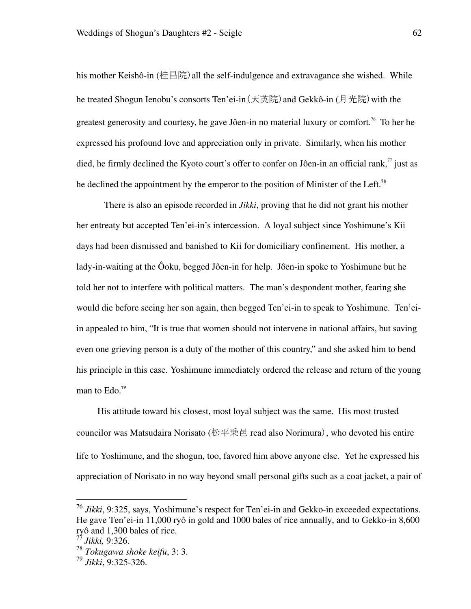his mother Keishô-in (桂昌院) all the self-indulgence and extravagance she wished. While he treated Shogun Ienobu's consorts Ten'ei-in (天英院) and Gekkô-in (月光院) with the greatest generosity and courtesy, he gave Jôen-in no material luxury or comfort.<sup>76</sup> To her he expressed his profound love and appreciation only in private. Similarly, when his mother died, he firmly declined the Kyoto court's offer to confer on Jôen-in an official rank,  $\eta$  just as he declined the appointment by the emperor to the position of Minister of the Left.**<sup>78</sup>**

There is also an episode recorded in *Jikki*, proving that he did not grant his mother her entreaty but accepted Ten'ei-in's intercession. A loyal subject since Yoshimune's Kii days had been dismissed and banished to Kii for domiciliary confinement. His mother, a lady-in-waiting at the Ôoku, begged Jôen-in for help. Jôen-in spoke to Yoshimune but he told her not to interfere with political matters. The man's despondent mother, fearing she would die before seeing her son again, then begged Ten'ei-in to speak to Yoshimune. Ten'eiin appealed to him, "It is true that women should not intervene in national affairs, but saving even one grieving person is a duty of the mother of this country," and she asked him to bend his principle in this case. Yoshimune immediately ordered the release and return of the young man to Edo.**<sup>79</sup>**

His attitude toward his closest, most loyal subject was the same. His most trusted councilor was Matsudaira Norisato (松平乗邑 read also Norimura), who devoted his entire life to Yoshimune, and the shogun, too, favored him above anyone else. Yet he expressed his appreciation of Norisato in no way beyond small personal gifts such as a coat jacket, a pair of

<sup>76</sup> *Jikki*, 9:325, says, Yoshimune's respect for Ten'ei-in and Gekko-in exceeded expectations. He gave Ten'ei-in 11,000 ryô in gold and 1000 bales of rice annually, and to Gekko-in 8,600 ryô and 1,300 bales of rice.

<sup>77</sup> *Jikki,* 9:326.

<sup>78</sup> *Tokugawa shoke keifu*, 3: 3.

<sup>79</sup> *Jikki*, 9:325-326.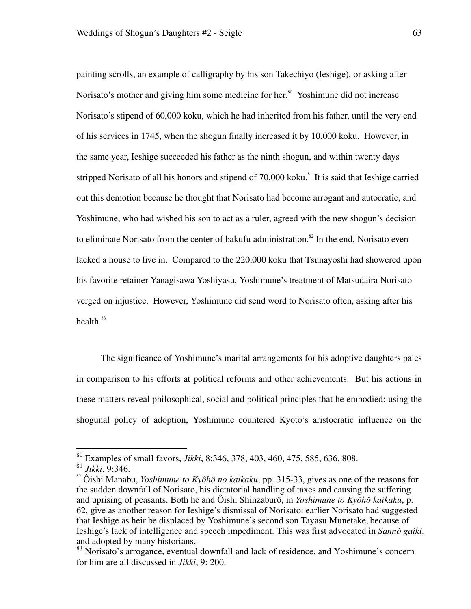painting scrolls, an example of calligraphy by his son Takechiyo (Ieshige), or asking after Norisato's mother and giving him some medicine for her.<sup>80</sup> Yoshimune did not increase Norisato's stipend of 60,000 koku, which he had inherited from his father, until the very end of his services in 1745, when the shogun finally increased it by 10,000 koku. However, in the same year, Ieshige succeeded his father as the ninth shogun, and within twenty days stripped Norisato of all his honors and stipend of  $70,000$  koku.<sup>81</sup> It is said that Ieshige carried out this demotion because he thought that Norisato had become arrogant and autocratic, and Yoshimune, who had wished his son to act as a ruler, agreed with the new shogun's decision to eliminate Norisato from the center of bakufu administration.<sup>82</sup> In the end, Norisato even lacked a house to live in. Compared to the 220,000 koku that Tsunayoshi had showered upon his favorite retainer Yanagisawa Yoshiyasu, Yoshimune's treatment of Matsudaira Norisato verged on injustice. However, Yoshimune did send word to Norisato often, asking after his health. $83$ 

The significance of Yoshimune's marital arrangements for his adoptive daughters pales in comparison to his efforts at political reforms and other achievements. But his actions in these matters reveal philosophical, social and political principles that he embodied: using the shogunal policy of adoption, Yoshimune countered Kyoto's aristocratic influence on the

<sup>80</sup> Examples of small favors, *Jikki*, 8:346, 378, 403, 460, 475, 585, 636, 808.

<sup>81</sup> *Jikki*, 9:346.

<sup>&</sup>lt;sup>82</sup> Ôishi Manabu, *Yoshimune to Kyôhô no kaikaku*, pp. 315-33, gives as one of the reasons for the sudden downfall of Norisato, his dictatorial handling of taxes and causing the suffering and uprising of peasants. Both he and Ôishi Shinzaburô, in *Yoshimune to Kyôhô kaikaku*, p. 62, give as another reason for Ieshige's dismissal of Norisato: earlier Norisato had suggested that Ieshige as heir be displaced by Yoshimune's second son Tayasu Munetake, because of Ieshige's lack of intelligence and speech impediment. This was first advocated in *Sannô gaiki*, and adopted by many historians.

<sup>&</sup>lt;sup>83</sup> Norisato's arrogance, eventual downfall and lack of residence, and Yoshimune's concern for him are all discussed in *Jikki*, 9: 200.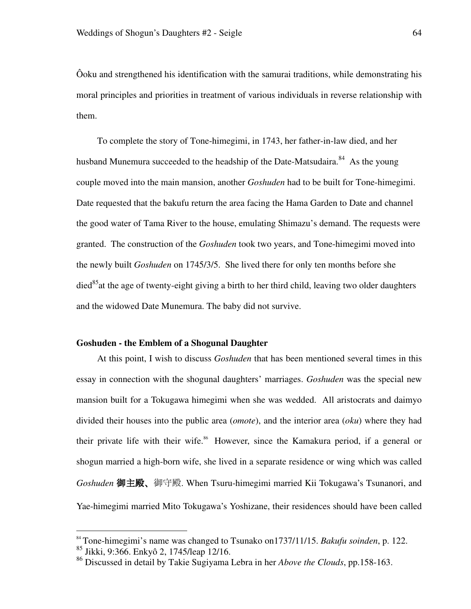Ôoku and strengthened his identification with the samurai traditions, while demonstrating his moral principles and priorities in treatment of various individuals in reverse relationship with them.

 To complete the story of Tone-himegimi, in 1743, her father-in-law died, and her husband Munemura succeeded to the headship of the Date-Matsudaira.<sup>84</sup> As the young couple moved into the main mansion, another *Goshuden* had to be built for Tone-himegimi. Date requested that the bakufu return the area facing the Hama Garden to Date and channel the good water of Tama River to the house, emulating Shimazu's demand. The requests were granted. The construction of the *Goshuden* took two years, and Tone-himegimi moved into the newly built *Goshuden* on 1745/3/5. She lived there for only ten months before she  $\text{died}^{85}$  at the age of twenty-eight giving a birth to her third child, leaving two older daughters and the widowed Date Munemura. The baby did not survive.

#### **Goshuden - the Emblem of a Shogunal Daughter**

At this point, I wish to discuss *Goshuden* that has been mentioned several times in this essay in connection with the shogunal daughters' marriages. *Goshuden* was the special new mansion built for a Tokugawa himegimi when she was wedded. All aristocrats and daimyo divided their houses into the public area (*omote*), and the interior area (*oku*) where they had their private life with their wife.<sup>86</sup> However, since the Kamakura period, if a general or shogun married a high-born wife, she lived in a separate residence or wing which was called *Goshuden* 御主殿、御守殿. When Tsuru-himegimi married Kii Tokugawa's Tsunanori, and Yae-himegimi married Mito Tokugawa's Yoshizane, their residences should have been called

<sup>84</sup> Tone-himegimi's name was changed to Tsunako on1737/11/15. *Bakufu soinden*, p. 122.

<sup>85</sup> Jikki, 9:366. Enkyô 2, 1745/leap 12/16.

<sup>86</sup> Discussed in detail by Takie Sugiyama Lebra in her *Above the Clouds*, pp.158-163.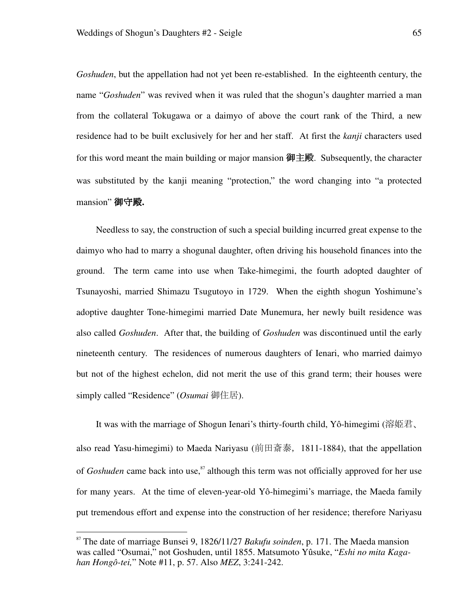*Goshuden*, but the appellation had not yet been re-established. In the eighteenth century, the name "*Goshuden*" was revived when it was ruled that the shogun's daughter married a man from the collateral Tokugawa or a daimyo of above the court rank of the Third, a new residence had to be built exclusively for her and her staff. At first the *kanji* characters used for this word meant the main building or major mansion 御主殿. Subsequently, the character was substituted by the kanji meaning "protection," the word changing into "a protected mansion" 御守殿**.** 

Needless to say, the construction of such a special building incurred great expense to the daimyo who had to marry a shogunal daughter, often driving his household finances into the ground. The term came into use when Take-himegimi, the fourth adopted daughter of Tsunayoshi, married Shimazu Tsugutoyo in 1729. When the eighth shogun Yoshimune's adoptive daughter Tone-himegimi married Date Munemura, her newly built residence was also called *Goshuden*. After that, the building of *Goshuden* was discontinued until the early nineteenth century. The residences of numerous daughters of Ienari, who married daimyo but not of the highest echelon, did not merit the use of this grand term; their houses were simply called "Residence" (*Osumai* 御住居).

It was with the marriage of Shogun Ienari's thirty-fourth child, Yô-himegimi (溶姫君、 also read Yasu-himegimi) to Maeda Nariyasu (前田斎泰,1811-1884), that the appellation of *Goshuden* came back into use,<sup>87</sup> although this term was not officially approved for her use for many years. At the time of eleven-year-old Yô-himegimi's marriage, the Maeda family put tremendous effort and expense into the construction of her residence; therefore Nariyasu

<sup>87</sup> The date of marriage Bunsei 9, 1826/11/27 *Bakufu soinden*, p. 171. The Maeda mansion was called "Osumai," not Goshuden, until 1855. Matsumoto Yûsuke, "*Eshi no mita Kagahan Hongô-tei,*" Note #11, p. 57. Also *MEZ*, 3:241-242.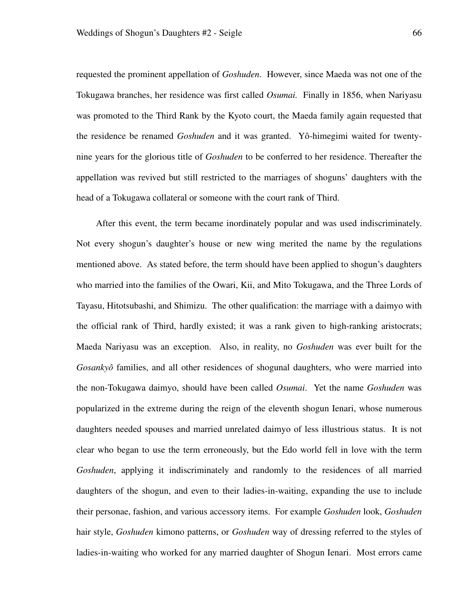requested the prominent appellation of *Goshuden*. However, since Maeda was not one of the Tokugawa branches, her residence was first called *Osumai.* Finally in 1856, when Nariyasu was promoted to the Third Rank by the Kyoto court, the Maeda family again requested that the residence be renamed *Goshuden* and it was granted. Yô-himegimi waited for twentynine years for the glorious title of *Goshuden* to be conferred to her residence. Thereafter the appellation was revived but still restricted to the marriages of shoguns' daughters with the head of a Tokugawa collateral or someone with the court rank of Third.

After this event, the term became inordinately popular and was used indiscriminately. Not every shogun's daughter's house or new wing merited the name by the regulations mentioned above. As stated before, the term should have been applied to shogun's daughters who married into the families of the Owari, Kii, and Mito Tokugawa, and the Three Lords of Tayasu, Hitotsubashi, and Shimizu. The other qualification: the marriage with a daimyo with the official rank of Third, hardly existed; it was a rank given to high-ranking aristocrats; Maeda Nariyasu was an exception. Also, in reality, no *Goshuden* was ever built for the *Gosankyô* families, and all other residences of shogunal daughters, who were married into the non-Tokugawa daimyo, should have been called *Osumai*. Yet the name *Goshuden* was popularized in the extreme during the reign of the eleventh shogun Ienari, whose numerous daughters needed spouses and married unrelated daimyo of less illustrious status. It is not clear who began to use the term erroneously, but the Edo world fell in love with the term *Goshuden*, applying it indiscriminately and randomly to the residences of all married daughters of the shogun, and even to their ladies-in-waiting, expanding the use to include their personae, fashion, and various accessory items. For example *Goshuden* look, *Goshuden* hair style, *Goshuden* kimono patterns, or *Goshuden* way of dressing referred to the styles of ladies-in-waiting who worked for any married daughter of Shogun Ienari. Most errors came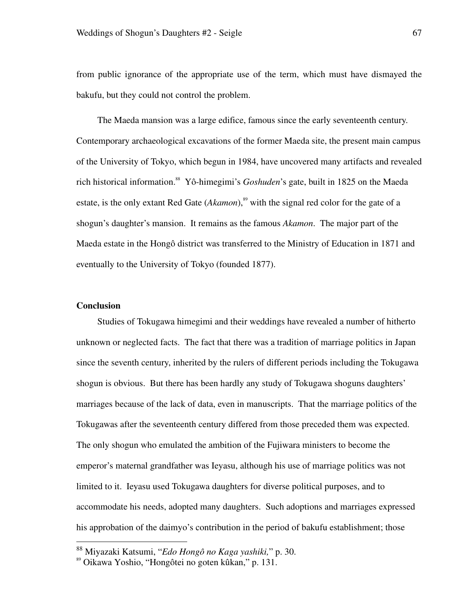from public ignorance of the appropriate use of the term, which must have dismayed the bakufu, but they could not control the problem.

The Maeda mansion was a large edifice, famous since the early seventeenth century. Contemporary archaeological excavations of the former Maeda site, the present main campus of the University of Tokyo, which begun in 1984, have uncovered many artifacts and revealed rich historical information.<sup>88</sup> Yô-himegimi's *Goshuden*'s gate, built in 1825 on the Maeda estate, is the only extant Red Gate (*Akamon*),<sup>89</sup> with the signal red color for the gate of a shogun's daughter's mansion. It remains as the famous *Akamon*. The major part of the Maeda estate in the Hongô district was transferred to the Ministry of Education in 1871 and eventually to the University of Tokyo (founded 1877).

#### **Conclusion**

<u>.</u>

Studies of Tokugawa himegimi and their weddings have revealed a number of hitherto unknown or neglected facts. The fact that there was a tradition of marriage politics in Japan since the seventh century, inherited by the rulers of different periods including the Tokugawa shogun is obvious. But there has been hardly any study of Tokugawa shoguns daughters' marriages because of the lack of data, even in manuscripts. That the marriage politics of the Tokugawas after the seventeenth century differed from those preceded them was expected. The only shogun who emulated the ambition of the Fujiwara ministers to become the emperor's maternal grandfather was Ieyasu, although his use of marriage politics was not limited to it. Ieyasu used Tokugawa daughters for diverse political purposes, and to accommodate his needs, adopted many daughters. Such adoptions and marriages expressed his approbation of the daimyo's contribution in the period of bakufu establishment; those

<sup>88</sup> Miyazaki Katsumi, "*Edo Hongô no Kaga yashiki,*" p. 30.

<sup>89</sup> Oikawa Yoshio, "Hongôtei no goten kûkan," p. 131.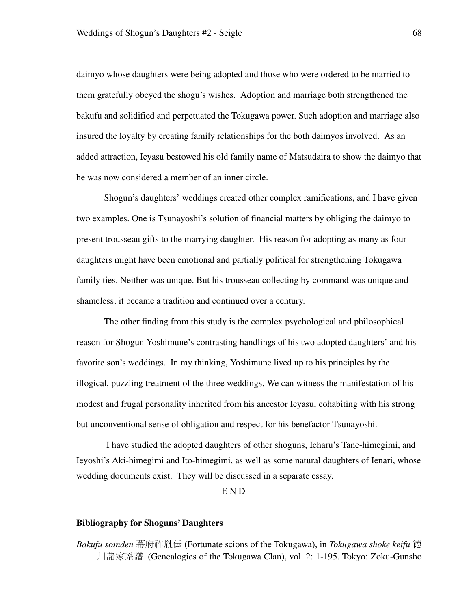daimyo whose daughters were being adopted and those who were ordered to be married to them gratefully obeyed the shogu's wishes. Adoption and marriage both strengthened the bakufu and solidified and perpetuated the Tokugawa power. Such adoption and marriage also insured the loyalty by creating family relationships for the both daimyos involved. As an added attraction, Ieyasu bestowed his old family name of Matsudaira to show the daimyo that he was now considered a member of an inner circle.

Shogun's daughters' weddings created other complex ramifications, and I have given two examples. One is Tsunayoshi's solution of financial matters by obliging the daimyo to present trousseau gifts to the marrying daughter. His reason for adopting as many as four daughters might have been emotional and partially political for strengthening Tokugawa family ties. Neither was unique. But his trousseau collecting by command was unique and shameless; it became a tradition and continued over a century.

The other finding from this study is the complex psychological and philosophical reason for Shogun Yoshimune's contrasting handlings of his two adopted daughters' and his favorite son's weddings. In my thinking, Yoshimune lived up to his principles by the illogical, puzzling treatment of the three weddings. We can witness the manifestation of his modest and frugal personality inherited from his ancestor Ieyasu, cohabiting with his strong but unconventional sense of obligation and respect for his benefactor Tsunayoshi.

 I have studied the adopted daughters of other shoguns, Ieharu's Tane-himegimi, and Ieyoshi's Aki-himegimi and Ito-himegimi, as well as some natural daughters of Ienari, whose wedding documents exist. They will be discussed in a separate essay.

E N D

#### **Bibliography for Shoguns' Daughters**

*Bakufu soinden* 幕府祚胤伝 (Fortunate scions of the Tokugawa), in *Tokugawa shoke keifu* 徳 川諸家系譜 (Genealogies of the Tokugawa Clan), vol. 2: 1-195. Tokyo: Zoku-Gunsho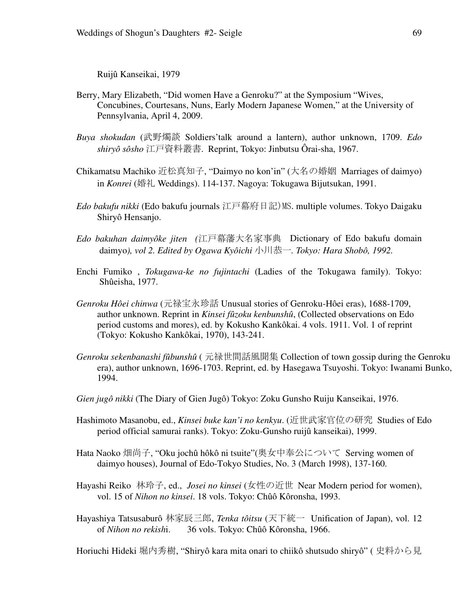Ruijû Kanseikai, 1979

- Berry, Mary Elizabeth, "Did women Have a Genroku?" at the Symposium "Wives, Concubines, Courtesans, Nuns, Early Modern Japanese Women," at the University of Pennsylvania, April 4, 2009.
- *Buya shokudan* (武野燭談 Soldiers'talk around a lantern), author unknown, 1709. *Edo shiryô sôsho* 江戸資料叢書. Reprint, Tokyo: Jinbutsu Ôrai-sha, 1967.
- Chikamatsu Machiko 近松真知子, "Daimyo no kon'in" (大名の婚姻 Marriages of daimyo) in *Konrei* (婚礼 Weddings). 114-137. Nagoya: Tokugawa Bijutsukan, 1991.
- *Edo bakufu nikki* (Edo bakufu journals 江戸幕府日記)MS.multiple volumes. Tokyo Daigaku Shiryô Hensanjo.
- *Edo bakuhan daimyôke jiten (*江戸幕藩大名家事典 Dictionary of Edo bakufu domain daimyo*), vol 2. Edited by Ogawa Kyôichi* 小川恭一*. Tokyo: Hara Shobô, 1992.*
- Enchi Fumiko , *Tokugawa-ke no fujintachi* (Ladies of the Tokugawa family). Tokyo: Shûeisha, 1977.
- *Genroku Hôei chinwa* (元禄宝永珍話 Unusual stories of Genroku-Hôei eras), 1688-1709, author unknown. Reprint in *Kinsei fûzoku kenbunshû*, (Collected observations on Edo period customs and mores), ed. by Kokusho Kankôkai. 4 vols. 1911. Vol. 1 of reprint (Tokyo: Kokusho Kankôkai, 1970), 143-241.
- *Genroku sekenbanashi fûbunshû* ( 元禄世間話風聞集 Collection of town gossip during the Genroku era), author unknown, 1696-1703. Reprint, ed. by Hasegawa Tsuyoshi. Tokyo: Iwanami Bunko, 1994.
- *Gien jugô nikki* (The Diary of Gien Jugô) Tokyo: Zoku Gunsho Ruiju Kanseikai, 1976.
- Hashimoto Masanobu, ed., *Kinsei buke kan'i no kenkyu*. (近世武家官位の研究 Studies of Edo period official samurai ranks). Tokyo: Zoku-Gunsho ruijû kanseikai), 1999.
- Hata Naoko 畑尚子, "Oku jochû hôkô ni tsuite"(奥女中奉公について Serving women of daimyo houses), Journal of Edo-Tokyo Studies, No. 3 (March 1998), 137-160.
- Hayashi Reiko 林玲子, ed., *Josei no kinsei* (女性の近世 Near Modern period for women), vol. 15 of *Nihon no kinsei*. 18 vols. Tokyo: Chûô Kôronsha, 1993.
- Hayashiya Tatsusaburô 林家辰三郎, *Tenka tôitsu* (天下統一 Unification of Japan), vol. 12 of *Nihon no rekish*i. 36 vols. Tokyo: Chûô Kôronsha, 1966.

Horiuchi Hideki 堀内秀樹, "Shiryô kara mita onari to chiikô shutsudo shiryô" ( 史料から見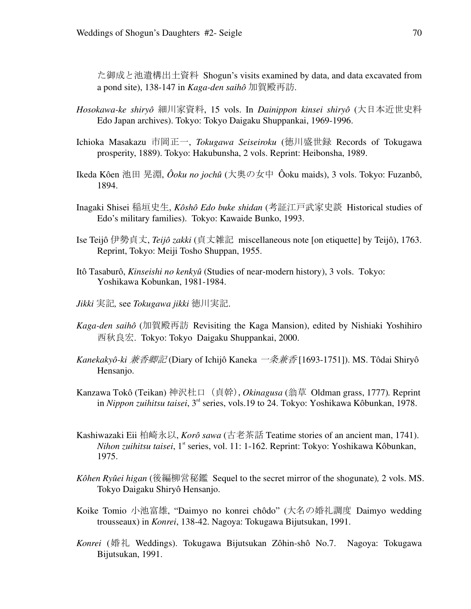た御成と池遺構出土資料 Shogun's visits examined by data, and data excavated from a pond site), 138-147 in *Kaga-den saihô* 加賀殿再訪.

- *Hosokawa-ke shiryô* 細川家資料, 15 vols. In *Dainippon kinsei shiryô* (大日本近世史料 Edo Japan archives). Tokyo: Tokyo Daigaku Shuppankai, 1969-1996.
- Ichioka Masakazu 市岡正一, *Tokugawa Seiseiroku* (徳川盛世録 Records of Tokugawa prosperity, 1889). Tokyo: Hakubunsha, 2 vols. Reprint: Heibonsha, 1989.
- Ikeda Kôen 池田 晃淵, *Ôoku no jochû* (大奥の女中 Ôoku maids), 3 vols. Tokyo: Fuzanbô, 1894.
- Inagaki Shisei 稲垣史生, *Kôshô Edo buke shidan* (考証江戸武家史談 Historical studies of Edo's military families). Tokyo: Kawaide Bunko, 1993.
- Ise Teijô 伊勢貞丈, *Teijô zakki* (貞丈雑記 miscellaneous note [on etiquette] by Teijô), 1763. Reprint, Tokyo: Meiji Tosho Shuppan, 1955.
- Itô Tasaburô, *Kinseishi no kenkyû* (Studies of near-modern history), 3 vols. Tokyo: Yoshikawa Kobunkan, 1981-1984.
- *Jikki* 実記*,* see *Tokugawa jikki* 徳川実記.
- *Kaga-den saihô* (加賀殿再訪 Revisiting the Kaga Mansion), edited by Nishiaki Yoshihiro 西秋良宏. Tokyo: Tokyo Daigaku Shuppankai, 2000.
- *Kanekakyô-ki* 兼香卿記 (Diary of Ichijô Kaneka 一条兼香 [1693-1751]). MS. Tôdai Shiryô Hensanjo.
- Kanzawa Tokô (Teikan) 神沢杜口(貞幹),*Okinagusa* (翁草 Oldman grass, 1777)*.* Reprint in *Nippon zuihitsu taisei*, 3rd series, vols.19 to 24. Tokyo: Yoshikawa Kôbunkan, 1978.
- Kashiwazaki Eii 柏崎永以, *Korô sawa* (古老茶話 Teatime stories of an ancient man, 1741). *Nihon zuihitsu taisei*, 1<sup>st</sup> series, vol. 11: 1-162. Reprint: Tokyo: Yoshikawa Kôbunkan, 1975.
- *Kôhen Ryûei higan* (後編柳営秘鑑 Sequel to the secret mirror of the shogunate)*,* 2 vols. MS. Tokyo Daigaku Shiryô Hensanjo.
- Koike Tomio 小池富雄, "Daimyo no konrei chôdo" (大名の婚礼調度 Daimyo wedding trousseaux) in *Konrei*, 138-42. Nagoya: Tokugawa Bijutsukan, 1991.
- *Konrei* (婚礼 Weddings). Tokugawa Bijutsukan Zôhin-shô No.7. Nagoya: Tokugawa Bijutsukan, 1991.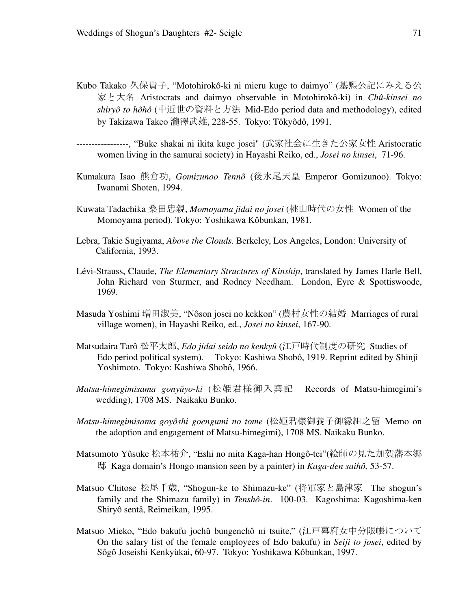- Kubo Takako 久保貴子, "Motohirokô-ki ni mieru kuge to daimyo" (基熈公記にみえる公 家と大名 Aristocrats and daimyo observable in Motohirokô-ki) in *Chû-kinsei no shiryô to hôhô* (中近世の資料と方法 Mid-Edo period data and methodology), edited by Takizawa Takeo 瀧澤武雄, 228-55. Tokyo: Tôkyôdô, 1991.
- -----------------, "Buke shakai ni ikita kuge josei" (武家社会に生きた公家女性 Aristocratic women living in the samurai society) in Hayashi Reiko, ed., *Josei no kinsei*, 71-96.
- Kumakura Isao 熊倉功, *Gomizunoo Tennô* (後水尾天皇 Emperor Gomizunoo). Tokyo: Iwanami Shoten, 1994.
- Kuwata Tadachika 桑田忠親, *Momoyama jidai no josei* (桃山時代の女性 Women of the Momoyama period). Tokyo: Yoshikawa Kôbunkan, 1981.
- Lebra, Takie Sugiyama, *Above the Clouds.* Berkeley, Los Angeles, London: University of California, 1993.
- Lévi-Strauss, Claude, *The Elementary Structures of Kinship*, translated by James Harle Bell, John Richard von Sturmer, and Rodney Needham. London, Eyre & Spottiswoode, 1969.
- Masuda Yoshimi 増田淑美, "Nôson josei no kekkon" (農村女性の結婚 Marriages of rural village women), in Hayashi Reiko*,* ed., *Josei no kinsei*, 167-90.
- Matsudaira Tarô 松平太郎, *Edo jidai seido no kenkyû* (江戸時代制度の研究 Studies of Edo period political system)*.* Tokyo: Kashiwa Shobô, 1919. Reprint edited by Shinji Yoshimoto. Tokyo: Kashiwa Shobô, 1966.
- *Matsu-himegimisama gonyûyo-ki* (松姫君様御入輿記 Records of Matsu-himegimi's wedding), 1708 MS. Naikaku Bunko.
- *Matsu-himegimisama goyôshi goengumi no tome* (松姫君様御養子御縁組之留 Memo on the adoption and engagement of Matsu-himegimi), 1708 MS. Naikaku Bunko.
- Matsumoto Yûsuke 松本祐介, "Eshi no mita Kaga-han Hongô-tei"(絵師の見た加賀藩本郷 邸 Kaga domain's Hongo mansion seen by a painter) in *Kaga-den saihô,* 53-57.
- Matsuo Chitose 松尾千歳, "Shogun-ke to Shimazu-ke" (将軍家と島津家 The shogun's family and the Shimazu family) in *Tenshô-in*. 100-03. Kagoshima: Kagoshima-ken Shiryô sentâ, Reimeikan, 1995.
- Matsuo Mieko, "Edo bakufu jochû bungenchô ni tsuite," (江戸幕府女中分限帳について On the salary list of the female employees of Edo bakufu) in *Seiji to josei*, edited by Sôgô Joseishi Kenkyùkai, 60-97. Tokyo: Yoshikawa Kôbunkan, 1997.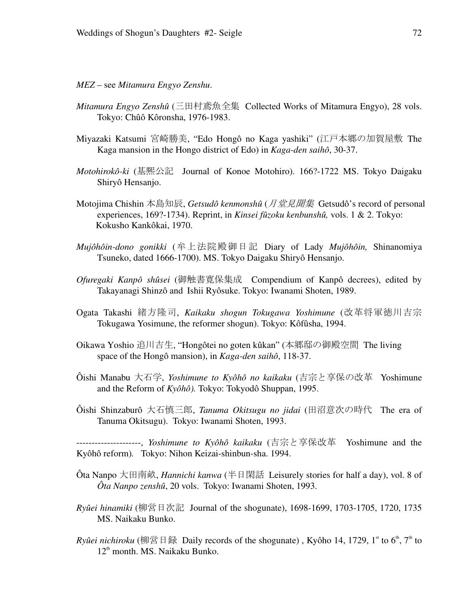*MEZ* – see *Mitamura Engyo Zenshu*.

- *Mitamura Engyo Zenshû* (三田村鳶魚全集 Collected Works of Mitamura Engyo), 28 vols. Tokyo: Chûô Kôronsha, 1976-1983.
- Miyazaki Katsumi 宮崎勝美, "Edo Hongô no Kaga yashiki" (江戸本郷の加賀屋敷 The Kaga mansion in the Hongo district of Edo) in *Kaga-den saihô*, 30-37.
- *Motohirokô-ki* (基熈公記 Journal of Konoe Motohiro). 166?-1722 MS. Tokyo Daigaku Shiryô Hensanjo.
- Motojima Chishin 本島知辰, *Getsudô kenmonshû* (月堂見聞集 Getsudô's record of personal experiences, 169?-1734). Reprint, in *Kinsei fûzoku kenbunshû,* vols. 1 & 2. Tokyo: Kokusho Kankôkai, 1970.
- *Mujôhôin-dono gonikki* (牟上法院殿御日記 Diary of Lady *Mujôhôin,* Shinanomiya Tsuneko, dated 1666-1700). MS. Tokyo Daigaku Shiryô Hensanjo.
- *Ofuregaki Kanpô shûsei* (御触書寛保集成 Compendium of Kanpô decrees), edited by Takayanagi Shinzô and Ishii Ryôsuke. Tokyo: Iwanami Shoten, 1989.
- Ogata Takashi 緒方隆司, *Kaikaku shogun Tokugawa Yoshimune* (改革将軍徳川吉宗 Tokugawa Yosimune, the reformer shogun). Tokyo: Kôfûsha, 1994.
- Oikawa Yoshio 追川吉生, "Hongôtei no goten kûkan" (本郷邸の御殿空間 The living space of the Hongô mansion), in *Kaga-den saihô*, 118-37.
- Ôishi Manabu 大石学, *Yoshimune to Kyôhô no kaikaku* (吉宗と享保の改革 Yoshimune and the Reform of *Kyôhô).* Tokyo: Tokyodô Shuppan, 1995.
- Ôishi Shinzaburô 大石慎三郎, *Tanuma Okitsugu no jidai* (田沼意次の時代 The era of Tanuma Okitsugu). Tokyo: Iwanami Shoten, 1993.

---------------------, *Yoshimune to Kyôhô kaikaku* (吉宗と享保改革 Yoshimune and the Kyôhô reform)*.* Tokyo: Nihon Keizai-shinbun-sha. 1994.

- Ôta Nanpo 大田南畝, *Hannichi kanwa* (半日閑話 Leisurely stories for half a day), vol. 8 of *Ôta Nanpo zenshû*, 20 vols. Tokyo: Iwanami Shoten, 1993.
- *Ryûei hinamiki* (柳営日次記 Journal of the shogunate), 1698-1699, 1703-1705, 1720, 1735 MS. Naikaku Bunko.
- *Ryûei nichiroku* (柳営日録 Daily records of the shogunate), Kyôho 14, 1729, 1<sup>st</sup> to 6<sup>th</sup>, 7<sup>th</sup> to  $12<sup>th</sup>$  month. MS. Naikaku Bunko.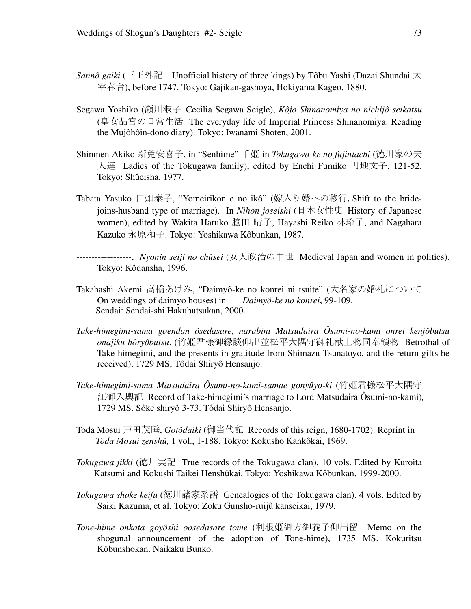- *Sannô gaiki* (三王外記 Unofficial history of three kings) by Tôbu Yashi (Dazai Shundai 太 宰春台), before 1747. Tokyo: Gajikan-gashoya, Hokiyama Kageo, 1880.
- Segawa Yoshiko (瀬川淑子 Cecilia Segawa Seigle), *Kôjo Shinanomiya no nichijô seikatsu* (皇女品宮の日常生活 The everyday life of Imperial Princess Shinanomiya: Reading the Mujôhôin-dono diary). Tokyo: Iwanami Shoten, 2001.
- Shinmen Akiko 新免安喜子, in "Senhime" 千姫 in *Tokugawa-ke no fujintachi* (徳川家の夫 人達 Ladies of the Tokugawa family), edited by Enchi Fumiko 円地文子, 121-52. Tokyo: Shûeisha, 1977.
- Tabata Yasuko 田畑泰子, "Yomeirikon e no ikô" (嫁入り婚への移行,Shift to the bridejoins-husband type of marriage). In *Nihon joseishi* (日本女性史 History of Japanese women), edited by Wakita Haruko 脇田 晴子, Hayashi Reiko 林玲子, and Nagahara Kazuko 永原和子. Tokyo: Yoshikawa Kôbunkan, 1987.
- ------------------, *Nyonin seiji no chûsei* (女人政治の中世 Medieval Japan and women in politics). Tokyo: Kôdansha, 1996.
- Takahashi Akemi 高橋あけみ, "Daimyô-ke no konrei ni tsuite" (大名家の婚礼について On weddings of daimyo houses) in *Daimyô-ke no konrei*, 99-109. Sendai: Sendai-shi Hakubutsukan, 2000.
- *Take-himegimi-sama goendan ôsedasare, narabini Matsudaira Ôsumi-no-kami onrei kenjôbutsu onajiku hôryôbutsu*. (竹姫君様御縁談仰出並松平大隅守御礼献上物同奉領物 Betrothal of Take-himegimi, and the presents in gratitude from Shimazu Tsunatoyo, and the return gifts he received), 1729 MS, Tôdai Shiryô Hensanjo.
- *Take-himegimi-sama Matsudaira Ôsumi-no-kami-samae gonyûyo-ki* (竹姫君様松平大隅守 江御入輿記 Record of Take-himegimi's marriage to Lord Matsudaira Ôsumi-no-kami)*,* 1729 MS. Sôke shiryô 3-73. Tôdai Shiryô Hensanjo.
- Toda Mosui 戸田茂睡, *Gotôdaiki* (御当代記 Records of this reign, 1680-1702). Reprint in *Toda Mosui zenshû,* 1 vol., 1-188. Tokyo: Kokusho Kankôkai, 1969.
- *Tokugawa jikki* (徳川実記 True records of the Tokugawa clan), 10 vols. Edited by Kuroita Katsumi and Kokushi Taikei Henshûkai. Tokyo: Yoshikawa Kôbunkan, 1999-2000.
- *Tokugawa shoke keifu* (徳川諸家系譜 Genealogies of the Tokugawa clan). 4 vols. Edited by Saiki Kazuma, et al. Tokyo: Zoku Gunsho-ruijû kanseikai, 1979.
- *Tone-hime onkata goyôshi oosedasare tome* (利根姫御方御養子仰出留 Memo on the shogunal announcement of the adoption of Tone-hime), 1735 MS. Kokuritsu Kôbunshokan. Naikaku Bunko.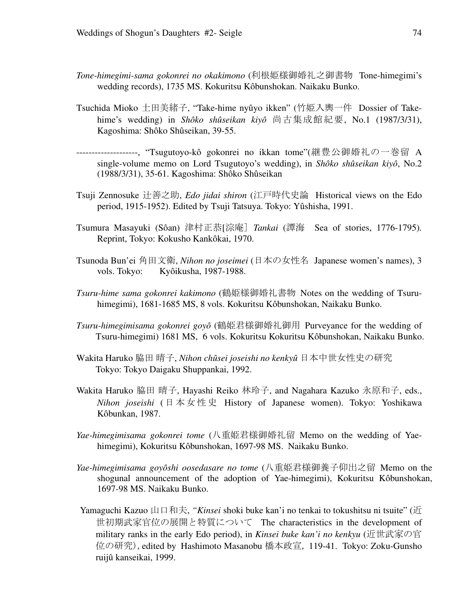- *Tone-himegimi-sama gokonrei no okakimono* (利根姫様御婚礼之御書物 Tone-himegimi's wedding records), 1735 MS. Kokuritsu Kôbunshokan. Naikaku Bunko.
- Tsuchida Mioko 土田美緒子, "Take-hime nyûyo ikken" (竹姫入輿一件 Dossier of Takehime's wedding) in *Shôko shûseikan kiyô* 尚古集成館紀要, No.1 (1987/3/31), Kagoshima: Shôko Shûseikan, 39-55.
- --------------------, "Tsugutoyo-kô gokonrei no ikkan tome"(継豊公御婚礼の一巻留 A single-volume memo on Lord Tsugutoyo's wedding), in *Shôko shûseikan kiyô*, No.2 (1988/3/31), 35-61. Kagoshima: Shôko Shûseikan
- Tsuji Zennosuke 辻善之助, *Edo jidai shiron* (江戸時代史論 Historical views on the Edo period, 1915-1952). Edited by Tsuji Tatsuya. Tokyo: Yûshisha, 1991.
- Tsumura Masayuki (Sôan) 津村正恭[淙庵] *Tankai* (譚海 Sea of stories, 1776-1795)*.* Reprint, Tokyo: Kokusho Kankôkai, 1970.
- Tsunoda Bun'ei 角田文衛, *Nihon no joseimei* (日本の女性名 Japanese women's names), 3 vols. Tokyo: Kyôikusha, 1987-1988.
- *Tsuru-hime sama gokonrei kakimono* (鶴姫様御婚礼書物 Notes on the wedding of Tsuruhimegimi), 1681-1685 MS, 8 vols. Kokuritsu Kôbunshokan, Naikaku Bunko.
- *Tsuru-himegimisama gokonrei goyô* (鶴姫君様御婚礼御用 Purveyance for the wedding of Tsuru-himegimi) 1681 MS, 6 vols. Kokuritsu Kokuritsu Kôbunshokan, Naikaku Bunko.
- Wakita Haruko 脇田 晴子, *Nihon chûsei joseishi no kenkyû* 日本中世女性史の研究 Tokyo: Tokyo Daigaku Shuppankai, 1992.
- Wakita Haruko 脇田 晴子, Hayashi Reiko 林玲子, and Nagahara Kazuko 永原和子, eds., *Nihon joseishi* (日本女性史 History of Japanese women). Tokyo: Yoshikawa Kôbunkan, 1987.
- *Yae-himegimisama gokonrei tome* (八重姫君様御婚礼留 Memo on the wedding of Yaehimegimi), Kokuritsu Kôbunshokan, 1697-98 MS. Naikaku Bunko.
- *Yae-himegimisama goyôshi oosedasare no tome* (八重姫君様御養子仰出之留 Memo on the shogunal announcement of the adoption of Yae-himegimi), Kokuritsu Kôbunshokan, 1697-98 MS. Naikaku Bunko.
- Yamaguchi Kazuo 山口和夫, *"Kinsei* shoki buke kan'i no tenkai to tokushitsu ni tsuite" (近 世初期武家官位の展開と特質について The characteristics in the development of military ranks in the early Edo period), in *Kinsei buke kan'i no kenkyu* (近世武家の官 位の研究),edited by Hashimoto Masanobu 橋本政宣, 119-41. Tokyo: Zoku-Gunsho ruijû kanseikai, 1999.